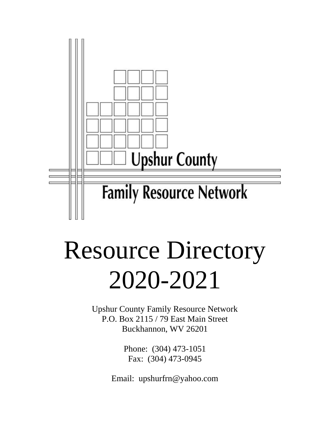

# Resource Directory 2020-2021

Upshur County Family Resource Network P.O. Box 2115 / 79 East Main Street Buckhannon, WV 26201

> Phone: (304) 473-1051 Fax: (304) 473-0945

Email: upshurfrn@yahoo.com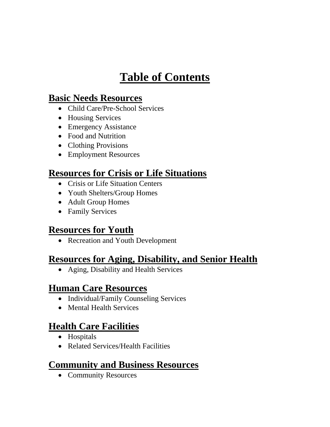# **Table of Contents**

### **Basic Needs Resources**

- Child Care/Pre-School Services
- Housing Services
- Emergency Assistance
- Food and Nutrition
- Clothing Provisions
- Employment Resources

### **Resources for Crisis or Life Situations**

- Crisis or Life Situation Centers
- Youth Shelters/Group Homes
- Adult Group Homes
- Family Services

### **Resources for Youth**

• Recreation and Youth Development

### **Resources for Aging, Disability, and Senior Health**

• Aging, Disability and Health Services

### **Human Care Resources**

- Individual/Family Counseling Services
- Mental Health Services

### **Health Care Facilities**

- Hospitals
- Related Services/Health Facilities

### **Community and Business Resources**

• Community Resources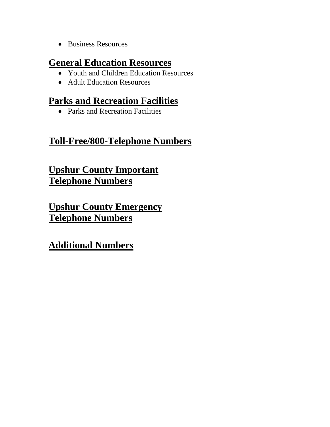• Business Resources

### **General Education Resources**

- Youth and Children Education Resources
- Adult Education Resources

### **Parks and Recreation Facilities**

• Parks and Recreation Facilities

### **Toll-Free/800-Telephone Numbers**

### **Upshur County Important Telephone Numbers**

**Upshur County Emergency Telephone Numbers**

**Additional Numbers**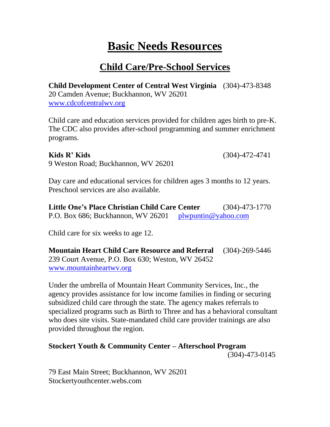### **Basic Needs Resources**

### **Child Care/Pre-School Services**

**Child Development Center of Central West Virginia** (304)-473-8348 20 Camden Avenue; Buckhannon, WV 26201 [www.cdcofcentralwv.org](http://www.cdcofcentralwv.org/)

Child care and education services provided for children ages birth to pre-K. The CDC also provides after-school programming and summer enrichment programs.

**Kids R' Kids** (304)-472-4741

9 Weston Road; Buckhannon, WV 26201

Day care and educational services for children ages 3 months to 12 years. Preschool services are also available.

**Little One's Place Christian Child Care Center** (304)-473-1770 P.O. Box 686; Buckhannon, WV 26201 [plwpuntin@yahoo.com](mailto:plwpuntin@yahoo.com)

Child care for six weeks to age 12.

**Mountain Heart Child Care Resource and Referral** (304)-269-5446 239 Court Avenue, P.O. Box 630; Weston, WV 26452 [www.mountainheartwv.org](http://www.mountainheartwv.org/)

Under the umbrella of Mountain Heart Community Services, Inc., the agency provides assistance for low income families in finding or securing subsidized child care through the state. The agency makes referrals to specialized programs such as Birth to Three and has a behavioral consultant who does site visits. State-mandated child care provider trainings are also provided throughout the region.

#### **Stockert Youth & Community Center – Afterschool Program** (304)-473-0145

79 East Main Street; Buckhannon, WV 26201 Stockertyouthcenter.webs.com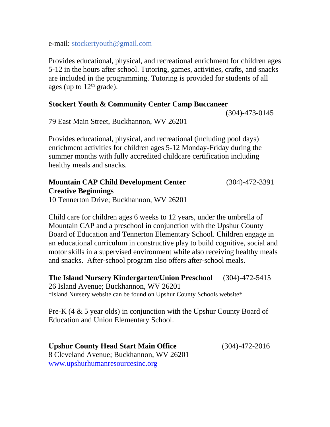e-mail: stockertyouth@gmail.com

Provides educational, physical, and recreational enrichment for children ages 5-12 in the hours after school. Tutoring, games, activities, crafts, and snacks are included in the programming. Tutoring is provided for students of all ages (up to  $12<sup>th</sup>$  grade).

#### **Stockert Youth & Community Center Camp Buccaneer**

(304)-473-0145

79 East Main Street, Buckhannon, WV 26201

Provides educational, physical, and recreational (including pool days) enrichment activities for children ages 5-12 Monday-Friday during the summer months with fully accredited childcare certification including healthy meals and snacks.

### **Mountain CAP Child Development Center** (304)-472-3391 **Creative Beginnings**

10 Tennerton Drive; Buckhannon, WV 26201

Child care for children ages 6 weeks to 12 years, under the umbrella of Mountain CAP and a preschool in conjunction with the Upshur County Board of Education and Tennerton Elementary School. Children engage in an educational curriculum in constructive play to build cognitive, social and motor skills in a supervised environment while also receiving healthy meals and snacks. After-school program also offers after-school meals.

**The Island Nursery Kindergarten/Union Preschool** (304)-472-5415 26 Island Avenue; Buckhannon, WV 26201 \*Island Nursery website can be found on Upshur County Schools website\*

Pre-K (4 & 5 year olds) in conjunction with the Upshur County Board of Education and Union Elementary School.

**Upshur County Head Start Main Office** (304)-472-2016 8 Cleveland Avenue; Buckhannon, WV 26201 [www.upshurhumanresourcesinc.org](http://www.upshurhumanresourcesinc.org/)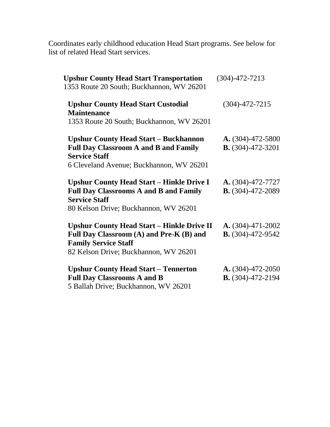Coordinates early childhood education Head Start programs. See below for list of related Head Start services.

| $(304) - 472 - 7213$                                                   |
|------------------------------------------------------------------------|
| $(304) - 472 - 7215$                                                   |
|                                                                        |
|                                                                        |
| $A. (304) - 472 - 5800$                                                |
| $B. (304) - 472 - 3201$                                                |
|                                                                        |
|                                                                        |
| $A. (304) - 472 - 7727$                                                |
| <b>B.</b> $(304)$ -472-2089                                            |
|                                                                        |
| <b>Upshur County Head Start – Hinkle Drive II</b><br>A. (304)-471-2002 |
| $B. (304) - 472 - 9542$                                                |
|                                                                        |
|                                                                        |
| $A. (304) - 472 - 2050$                                                |
| <b>B.</b> $(304)$ -472-2194                                            |
|                                                                        |
|                                                                        |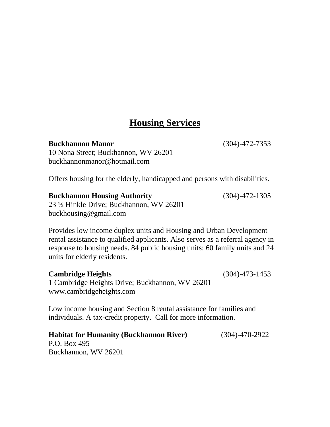### **Housing Services**

**Buckhannon Manor** (304)-472-7353 10 Nona Street; Buckhannon, WV 26201 buckhannonmanor@hotmail.com

Offers housing for the elderly, handicapped and persons with disabilities.

#### **Buckhannon Housing Authority** (304)-472-1305

23 ½ Hinkle Drive; Buckhannon, WV 26201 buckhousing@gmail.com

Provides low income duplex units and Housing and Urban Development rental assistance to qualified applicants. Also serves as a referral agency in response to housing needs. 84 public housing units: 60 family units and 24 units for elderly residents.

#### **Cambridge Heights** (304)-473-1453

1 Cambridge Heights Drive; Buckhannon, WV 26201 [www.cambridgeheights.com](http://www.cambridgeheights.com/)

Low income housing and Section 8 rental assistance for families and individuals. A tax-credit property. Call for more information.

**Habitat for Humanity (Buckhannon River)** (304)-470-2922 P.O. Box 495

Buckhannon, WV 26201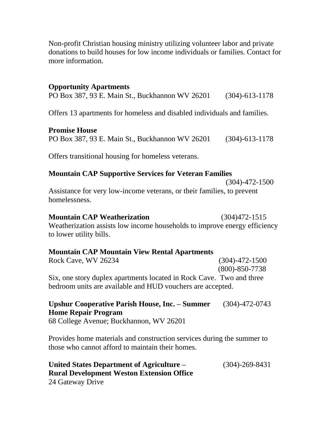Non-profit Christian housing ministry utilizing volunteer labor and private donations to build houses for low income individuals or families. Contact for more information.

#### **Opportunity Apartments**

PO Box 387, 93 E. Main St., Buckhannon WV 26201 (304)-613-1178

Offers 13 apartments for homeless and disabled individuals and families.

#### **Promise House**

PO Box 387, 93 E. Main St., Buckhannon WV 26201 (304)-613-1178

Offers transitional housing for homeless veterans.

#### **Mountain CAP Supportive Services for Veteran Families**

(304)-472-1500

Assistance for very low-income veterans, or their families, to prevent homelessness.

#### **Mountain CAP Weatherization** (304)472-1515

Weatherization assists low income households to improve energy efficiency to lower utility bills.

#### **Mountain CAP Mountain View Rental Apartments**

Rock Cave, WV 26234 (304)-472-1500 (800)-850-7738 Six, one story duplex apartments located in Rock Cave. Two and three bedroom units are available and HUD vouchers are accepted.

### **Upshur Cooperative Parish House, Inc. – Summer** (304)-472-0743 **Home Repair Program**

68 College Avenue; Buckhannon, WV 26201

Provides home materials and construction services during the summer to those who cannot afford to maintain their homes.

#### **United States Department of Agriculture –** (304)-269-8431 **Rural Development Weston Extension Office** 24 Gateway Drive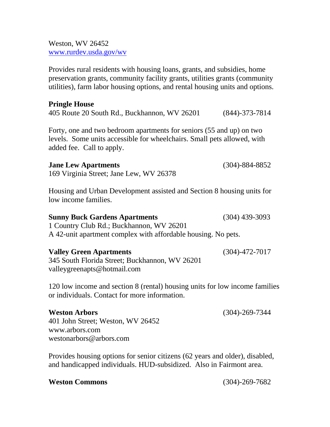Weston, WV 26452 [www.rurdev.usda.gov/wv](http://www.rurdev.usda.gov/wv)

Provides rural residents with housing loans, grants, and subsidies, home preservation grants, community facility grants, utilities grants (community utilities), farm labor housing options, and rental housing units and options.

### **Pringle House** 405 Route 20 South Rd., Buckhannon, WV 26201 (844)-373-7814 Forty, one and two bedroom apartments for seniors (55 and up) on two levels. Some units accessible for wheelchairs. Small pets allowed, with added fee. Call to apply. **Jane Lew Apartments** (304)-884-8852 169 Virginia Street; Jane Lew, WV 26378 Housing and Urban Development assisted and Section 8 housing units for low income families. **Sunny Buck Gardens Apartments** (304) 439-3093 1 Country Club Rd.; Buckhannon, WV 26201 A 42-unit apartment complex with affordable housing. No pets. **Valley Green Apartments** (304)-472-7017 345 South Florida Street; Buckhannon, WV 26201

120 low income and section 8 (rental) housing units for low income families or individuals. Contact for more information.

#### **Weston Arbors** (304)-269-7344

401 John Street; Weston, WV 26452 [www.arbors.com](http://www.arbors.com/) westonarbors@arbors.com

valleygreenapts@hotmail.com

Provides housing options for senior citizens (62 years and older), disabled, and handicapped individuals. HUD-subsidized. Also in Fairmont area.

#### **Weston Commons** (304)-269-7682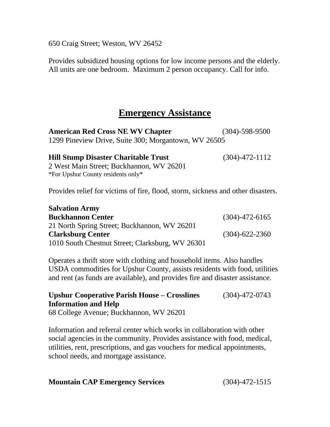650 Craig Street; Weston, WV 26452

**Salvation Army**

Provides subsidized housing options for low income persons and the elderly. All units are one bedroom. Maximum 2 person occupancy. Call for info.

### **Emergency Assistance**

**American Red Cross NE WV Chapter** (304)-598-9500 1299 Pineview Drive, Suite 300; Morgantown, WV 26505

| <b>Hill Stump Disaster Charitable Trust</b> | $(304)$ -472-1112 |
|---------------------------------------------|-------------------|
| 2 West Main Street; Buckhannon, WV 26201    |                   |
| *For Upshur County residents only*          |                   |

Provides relief for victims of fire, flood, storm, sickness and other disasters.

| <b>Salvation Army</b>                            |                      |
|--------------------------------------------------|----------------------|
| <b>Buckhannon Center</b>                         | $(304) - 472 - 6165$ |
| 21 North Spring Street; Buckhannon, WV 26201     |                      |
| <b>Clarksburg Center</b>                         | $(304) - 622 - 2360$ |
| 1010 South Chestnut Street; Clarksburg, WV 26301 |                      |

Operates a thrift store with clothing and household items. Also handles USDA commodities for Upshur County, assists residents with food, utilities and rent (as funds are available), and provides fire and disaster assistance.

### **Upshur Cooperative Parish House – Crosslines** (304)-472-0743 **Information and Help**

68 College Avenue; Buckhannon, WV 26201

Information and referral center which works in collaboration with other social agencies in the community. Provides assistance with food, medical, utilities, rent, prescriptions, and gas vouchers for medical appointments, school needs, and mortgage assistance.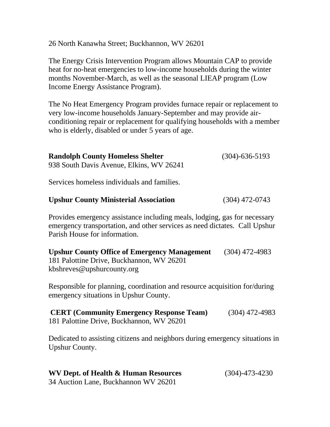26 North Kanawha Street; Buckhannon, WV 26201

The Energy Crisis Intervention Program allows Mountain CAP to provide heat for no-heat emergencies to low-income households during the winter months November-March, as well as the seasonal LIEAP program (Low Income Energy Assistance Program).

The No Heat Emergency Program provides furnace repair or replacement to very low-income households January-September and may provide airconditioning repair or replacement for qualifying households with a member who is elderly, disabled or under 5 years of age.

| <b>Randolph County Homeless Shelter</b>     | $(304) - 636 - 5193$ |
|---------------------------------------------|----------------------|
| 938 South Davis Avenue, Elkins, WV 26241    |                      |
|                                             |                      |
| Services homeless individuals and families. |                      |
|                                             |                      |

#### **Upshur County Ministerial Association** (304) 472-0743

Provides emergency assistance including meals, lodging, gas for necessary emergency transportation, and other services as need dictates. Call Upshur Parish House for information.

**Upshur County Office of Emergency Management** (304) 472-4983 181 Palottine Drive, Buckhannon, WV 26201 kbshreves@upshurcounty.org

Responsible for planning, coordination and resource acquisition for/during emergency situations in Upshur County.

| <b>CERT (Community Emergency Response Team)</b> | $(304)$ 472-4983 |
|-------------------------------------------------|------------------|
| 181 Palottine Drive, Buckhannon, WV 26201       |                  |

Dedicated to assisting citizens and neighbors during emergency situations in Upshur County.

### **WV Dept. of Health & Human Resources** (304)-473-4230

34 Auction Lane, Buckhannon WV 26201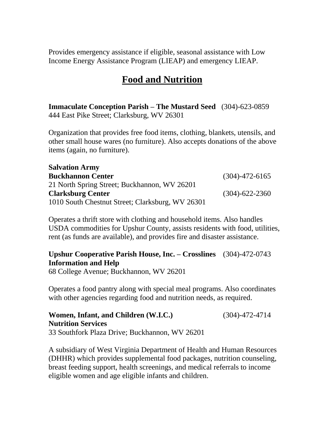Provides emergency assistance if eligible, seasonal assistance with Low Income Energy Assistance Program (LIEAP) and emergency LIEAP.

### **Food and Nutrition**

**Immaculate Conception Parish – The Mustard Seed** (304)-623-0859 444 East Pike Street; Clarksburg, WV 26301

Organization that provides free food items, clothing, blankets, utensils, and other small house wares (no furniture). Also accepts donations of the above items (again, no furniture).

| <b>Salvation Army</b>                            |                      |
|--------------------------------------------------|----------------------|
| <b>Buckhannon Center</b>                         | $(304) - 472 - 6165$ |
| 21 North Spring Street; Buckhannon, WV 26201     |                      |
| <b>Clarksburg Center</b>                         | $(304) - 622 - 2360$ |
| 1010 South Chestnut Street; Clarksburg, WV 26301 |                      |

Operates a thrift store with clothing and household items. Also handles USDA commodities for Upshur County, assists residents with food, utilities, rent (as funds are available), and provides fire and disaster assistance.

### **Upshur Cooperative Parish House, Inc. – Crosslines** (304)-472-0743 **Information and Help**

68 College Avenue; Buckhannon, WV 26201

Operates a food pantry along with special meal programs. Also coordinates with other agencies regarding food and nutrition needs, as required.

**Women, Infant, and Children (W.I.C.)** (304)-472-4714 **Nutrition Services** 33 Southfork Plaza Drive; Buckhannon, WV 26201

A subsidiary of West Virginia Department of Health and Human Resources (DHHR) which provides supplemental food packages, nutrition counseling, breast feeding support, health screenings, and medical referrals to income eligible women and age eligible infants and children.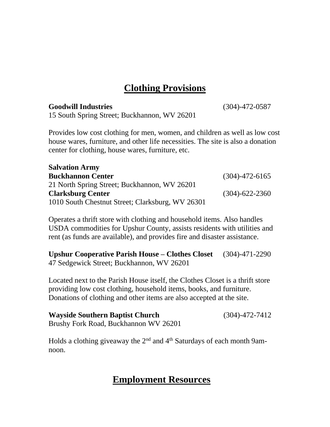### **Clothing Provisions**

#### **Goodwill Industries** (304)-472-0587

 $\overline{\mathbf{S}}$ 

15 South Spring Street; Buckhannon, WV 26201

Provides low cost clothing for men, women, and children as well as low cost house wares, furniture, and other life necessities. The site is also a donation center for clothing, house wares, furniture, etc.

| Salvation Army                                   |                      |
|--------------------------------------------------|----------------------|
| <b>Buckhannon Center</b>                         | $(304) - 472 - 6165$ |
| 21 North Spring Street; Buckhannon, WV 26201     |                      |
| <b>Clarksburg Center</b>                         | $(304) - 622 - 2360$ |
| 1010 South Chestnut Street; Clarksburg, WV 26301 |                      |

Operates a thrift store with clothing and household items. Also handles USDA commodities for Upshur County, assists residents with utilities and rent (as funds are available), and provides fire and disaster assistance.

**Upshur Cooperative Parish House – Clothes Closet** (304)-471-2290 47 Sedgewick Street; Buckhannon, WV 26201

Located next to the Parish House itself, the Clothes Closet is a thrift store providing low cost clothing, household items, books, and furniture. Donations of clothing and other items are also accepted at the site.

**Wayside Southern Baptist Church** (304)-472-7412 Brushy Fork Road, Buckhannon WV 26201

Holds a clothing giveaway the  $2<sup>nd</sup>$  and  $4<sup>th</sup>$  Saturdays of each month 9amnoon.

### **Employment Resources**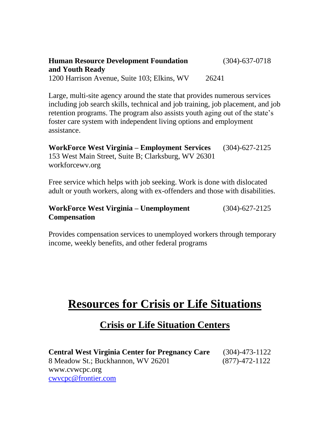| <b>Human Resource Development Foundation</b> | $(304) - 637 - 0718$ |
|----------------------------------------------|----------------------|
| and Youth Ready                              |                      |
| 1200 Harrison Avenue, Suite 103; Elkins, WV  | 26241                |

Large, multi-site agency around the state that provides numerous services including job search skills, technical and job training, job placement, and job retention programs. The program also assists youth aging out of the state's foster care system with independent living options and employment assistance.

**WorkForce West Virginia – Employment Services** (304)-627-2125 153 West Main Street, Suite B; Clarksburg, WV 26301 workforcewv.org

Free service which helps with job seeking. Work is done with dislocated adult or youth workers, along with ex-offenders and those with disabilities.

#### **WorkForce West Virginia – Unemployment** (304)-627-2125 **Compensation**

Provides compensation services to unemployed workers through temporary income, weekly benefits, and other federal programs

### **Resources for Crisis or Life Situations**

### **Crisis or Life Situation Centers**

**Central West Virginia Center for Pregnancy Care** (304)-473-1122 8 Meadow St.; Buckhannon, WV 26201 (877)-472-1122 www.cvwcpc.org [cwvcpc@frontier.com](mailto:cwvcpc@frontier.com)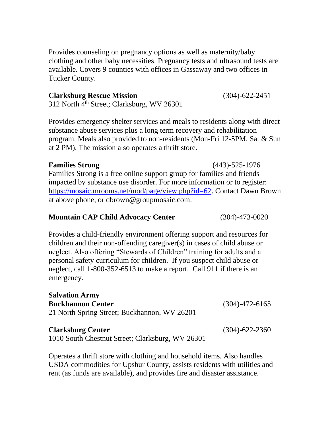Provides counseling on pregnancy options as well as maternity/baby clothing and other baby necessities. Pregnancy tests and ultrasound tests are available. Covers 9 counties with offices in Gassaway and two offices in Tucker County.

### **Clarksburg Rescue Mission** (304)-622-2451

312 North 4<sup>th</sup> Street; Clarksburg, WV 26301

Provides emergency shelter services and meals to residents along with direct substance abuse services plus a long term recovery and rehabilitation program. Meals also provided to non-residents (Mon-Fri 12-5PM, Sat & Sun at 2 PM). The mission also operates a thrift store.

### **Families Strong** (443)-525-1976

Families Strong is a free online support group for families and friends impacted by substance use disorder. For more information or to register: [https://mosaic.mrooms.net/mod/page/view.php?id=62.](https://mosaic.mrooms.net/mod/page/view.php?id=62) Contact Dawn Brown at above phone, or dbrown@groupmosaic.com.

### **Mountain CAP Child Advocacy Center** (304)-473-0020

Provides a child-friendly environment offering support and resources for children and their non-offending caregiver(s) in cases of child abuse or neglect. Also offering "Stewards of Children" training for adults and a personal safety curriculum for children. If you suspect child abuse or neglect, call 1-800-352-6513 to make a report. Call 911 if there is an emergency.

| <b>Salvation Army</b>                                                        |                      |
|------------------------------------------------------------------------------|----------------------|
| <b>Buckhannon Center</b>                                                     | $(304) - 472 - 6165$ |
| 21 North Spring Street; Buckhannon, WV 26201                                 |                      |
| <b>Clarksburg Center</b><br>1010 South Chestnut Street; Clarksburg, WV 26301 | $(304) - 622 - 2360$ |

Operates a thrift store with clothing and household items. Also handles USDA commodities for Upshur County, assists residents with utilities and rent (as funds are available), and provides fire and disaster assistance.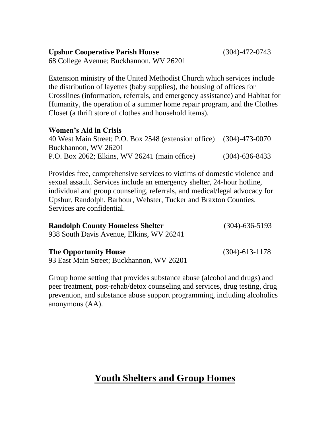Extension ministry of the United Methodist Church which services include the distribution of layettes (baby supplies), the housing of offices for Crosslines (information, referrals, and emergency assistance) and Habitat for Humanity, the operation of a summer home repair program, and the Clothes Closet (a thrift store of clothes and household items).

#### **Women's Aid in Crisis**

| 40 West Main Street; P.O. Box 2548 (extension office) (304)-473-0070 |                      |
|----------------------------------------------------------------------|----------------------|
| Buckhannon, WV 26201                                                 |                      |
| P.O. Box 2062; Elkins, WV 26241 (main office)                        | $(304) - 636 - 8433$ |

Provides free, comprehensive services to victims of domestic violence and sexual assault. Services include an emergency shelter, 24-hour hotline, individual and group counseling, referrals, and medical/legal advocacy for Upshur, Randolph, Barbour, Webster, Tucker and Braxton Counties. Services are confidential.

| <b>Randolph County Homeless Shelter</b>   | $(304) - 636 - 5193$ |
|-------------------------------------------|----------------------|
| 938 South Davis Avenue, Elkins, WV 26241  |                      |
| <b>The Opportunity House</b>              | $(304) - 613 - 1178$ |
| 93 East Main Street; Buckhannon, WV 26201 |                      |

Group home setting that provides substance abuse (alcohol and drugs) and peer treatment, post-rehab/detox counseling and services, drug testing, drug prevention, and substance abuse support programming, including alcoholics anonymous (AA).

### **Youth Shelters and Group Homes**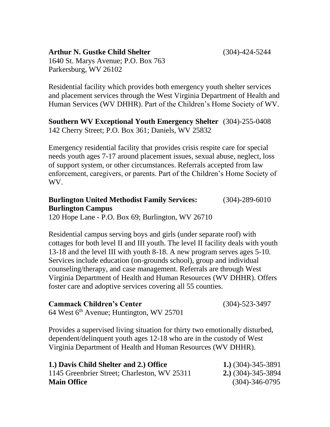#### **Arthur N. Gustke Child Shelter** (304)-424-5244

1640 St. Marys Avenue; P.O. Box 763 Parkersburg, WV 26102

Residential facility which provides both emergency youth shelter services and placement services through the West Virginia Department of Health and Human Services (WV DHHR). Part of the Children's Home Society of WV.

**Southern WV Exceptional Youth Emergency Shelter** (304)-255-0408 142 Cherry Street; P.O. Box 361; Daniels, WV 25832

Emergency residential facility that provides crisis respite care for special needs youth ages 7-17 around placement issues, sexual abuse, neglect, loss of support system, or other circumstances. Referrals accepted from law enforcement, caregivers, or parents. Part of the Children's Home Society of WV.

### **Burlington United Methodist Family Services:** (304)-289-6010 **Burlington Campus**

120 Hope Lane - P.O. Box 69; Burlington, WV 26710

Residential campus serving boys and girls (under separate roof) with cottages for both level II and III youth. The level II facility deals with youth 13-18 and the level III with youth 8-18. A new program serves ages 5-10. Services include education (on-grounds school), group and individual counseling/therapy, and case management. Referrals are through West Virginia Department of Health and Human Resources (WV DHHR). Offers foster care and adoptive services covering all 55 counties.

| <b>Cammack Children's Center</b>                     | $(304) - 523 - 3497$ |
|------------------------------------------------------|----------------------|
| 64 West 6 <sup>th</sup> Avenue; Huntington, WV 25701 |                      |

Provides a supervised living situation for thirty two emotionally disturbed, dependent/delinquent youth ages 12-18 who are in the custody of West Virginia Department of Health and Human Resources (WV DHHR).

| 1.) Davis Child Shelter and 2.) Office       | 1.) $(304)$ -345-3891 |
|----------------------------------------------|-----------------------|
| 1145 Greenbrier Street; Charleston, WV 25311 | $(304) - 345 - 3894$  |
| <b>Main Office</b>                           | $(304) - 346 - 0795$  |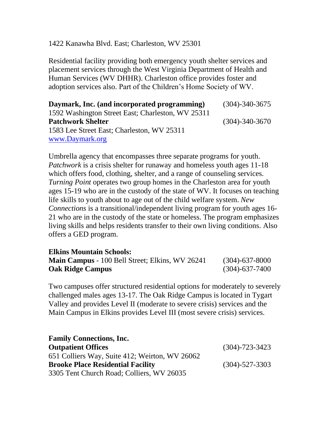#### 1422 Kanawha Blvd. East; Charleston, WV 25301

Residential facility providing both emergency youth shelter services and placement services through the West Virginia Department of Health and Human Services (WV DHHR). Charleston office provides foster and adoption services also. Part of the Children's Home Society of WV.

| Daymark, Inc. (and incorporated programming)      | $(304) - 340 - 3675$ |
|---------------------------------------------------|----------------------|
| 1592 Washington Street East; Charleston, WV 25311 |                      |
| <b>Patchwork Shelter</b>                          | $(304) - 340 - 3670$ |
| 1583 Lee Street East; Charleston, WV 25311        |                      |
| www.Daymark.org                                   |                      |

Umbrella agency that encompasses three separate programs for youth. *Patchwork* is a crisis shelter for runaway and homeless youth ages 11-18 which offers food, clothing, shelter, and a range of counseling services. *Turning Point* operates two group homes in the Charleston area for youth ages 15-19 who are in the custody of the state of WV. It focuses on teaching life skills to youth about to age out of the child welfare system. *New Connections* is a transitional/independent living program for youth ages 16- 21 who are in the custody of the state or homeless. The program emphasizes living skills and helps residents transfer to their own living conditions. Also offers a GED program.

| <b>Elkins Mountain Schools:</b>                        |                      |
|--------------------------------------------------------|----------------------|
| <b>Main Campus</b> - 100 Bell Street; Elkins, WV 26241 | $(304) - 637 - 8000$ |
| <b>Oak Ridge Campus</b>                                | $(304) - 637 - 7400$ |

Two campuses offer structured residential options for moderately to severely challenged males ages 13-17. The Oak Ridge Campus is located in Tygart Valley and provides Level II (moderate to severe crisis) services and the Main Campus in Elkins provides Level III (most severe crisis) services.

| <b>Family Connections, Inc.</b>                |                      |
|------------------------------------------------|----------------------|
| <b>Outpatient Offices</b>                      | $(304) - 723 - 3423$ |
| 651 Colliers Way, Suite 412; Weirton, WV 26062 |                      |
| <b>Brooke Place Residential Facility</b>       | $(304) - 527 - 3303$ |
| 3305 Tent Church Road; Colliers, WV 26035      |                      |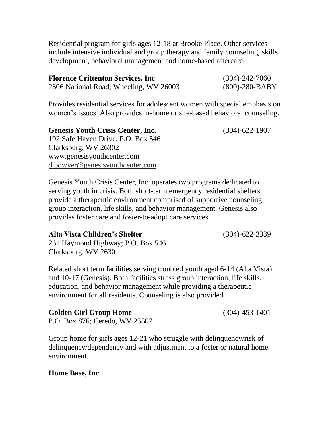Residential program for girls ages 12-18 at Brooke Place. Other services include intensive individual and group therapy and family counseling, skills development, behavioral management and home-based aftercare.

| <b>Florence Crittenton Services, Inc.</b> | $(304) - 242 - 7060$ |
|-------------------------------------------|----------------------|
| 2606 National Road; Wheeling, WV 26003    | $(800)$ -280-BABY    |

Provides residential services for adolescent women with special emphasis on women's issues. Also provides in-home or site-based behavioral counseling.

| <b>Genesis Youth Crisis Center, Inc.</b> | $(304) - 622 - 1907$ |
|------------------------------------------|----------------------|
| 192 Safe Haven Drive, P.O. Box 546       |                      |
| Clarksburg, WV 26302                     |                      |
| www.genesisyouthcenter.com               |                      |
| d.bowyer@genesisyouthcenter.com          |                      |

Genesis Youth Crisis Center, Inc. operates two programs dedicated to serving youth in crisis. Both short-term emergency residential shelters provide a therapeutic environment comprised of supportive counseling, group interaction, life skills, and behavior management. Genesis also provides foster care and foster-to-adopt care services.

#### **Alta Vista Children's Shelter** (304)-622-3339

261 Haymond Highway; P.O. Box 546 Clarksburg, WV 2630

Related short term facilities serving troubled youth aged 6-14 (Alta Vista) and 10-17 (Genesis). Both facilities stress group interaction, life skills, education, and behavior management while providing a therapeutic environment for all residents. Counseling is also provided.

| <b>Golden Girl Group Home</b>  | $(304) - 453 - 1401$ |
|--------------------------------|----------------------|
| P.O. Box 876; Ceredo, WV 25507 |                      |

Group home for girls ages 12-21 who struggle with delinquency/risk of delinquency/dependency and with adjustment to a foster or natural home environment.

### **Home Base, Inc.**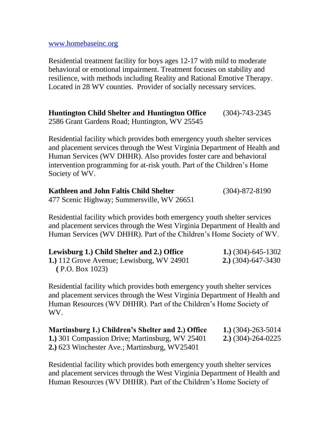[www.homebaseinc.org](http://www.homebaseinc.org/)

Residential treatment facility for boys ages 12-17 with mild to moderate behavioral or emotional impairment. Treatment focuses on stability and resilience, with methods including Reality and Rational Emotive Therapy. Located in 28 WV counties. Provider of socially necessary services.

**Huntington Child Shelter and Huntington Office** (304)-743-2345 2586 Grant Gardens Road; Huntington, WV 25545

Residential facility which provides both emergency youth shelter services and placement services through the West Virginia Department of Health and Human Services (WV DHHR). Also provides foster care and behavioral intervention programming for at-risk youth. Part of the Children's Home Society of WV.

| Kathleen and John Faltis Child Shelter     | $(304) - 872 - 8190$ |
|--------------------------------------------|----------------------|
| 477 Scenic Highway; Summersville, WV 26651 |                      |

Residential facility which provides both emergency youth shelter services and placement services through the West Virginia Department of Health and Human Services (WV DHHR). Part of the Children's Home Society of WV.

| Lewisburg 1.) Child Shelter and 2.) Office | 1.) $(304)$ -645-1302         |
|--------------------------------------------|-------------------------------|
| 1.) 112 Grove Avenue; Lewisburg, WV 24901  | <b>2.</b> ) $(304)$ -647-3430 |
| (P.O. Box 1023)                            |                               |

Residential facility which provides both emergency youth shelter services and placement services through the West Virginia Department of Health and Human Resources (WV DHHR). Part of the Children's Home Society of WV.

| Martinsburg 1.) Children's Shelter and 2.) Office | 1.) $(304)$ -263-5014         |
|---------------------------------------------------|-------------------------------|
| 1.) 301 Compassion Drive; Martinsburg, WV 25401   | <b>2.</b> ) $(304)$ -264-0225 |
| 2.) 623 Winchester Ave.; Martinsburg, WV25401     |                               |

Residential facility which provides both emergency youth shelter services and placement services through the West Virginia Department of Health and Human Resources (WV DHHR). Part of the Children's Home Society of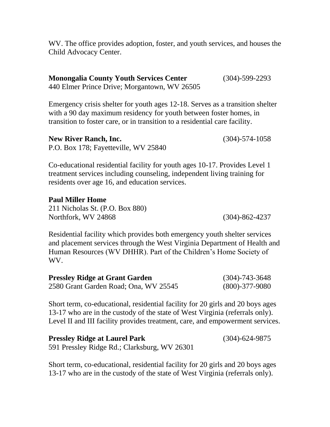WV. The office provides adoption, foster, and youth services, and houses the Child Advocacy Center.

| <b>Monongalia County Youth Services Center</b> | $(304) - 599 - 2293$ |
|------------------------------------------------|----------------------|
| 440 Elmer Prince Drive; Morgantown, WV 26505   |                      |

Emergency crisis shelter for youth ages 12-18. Serves as a transition shelter with a 90 day maximum residency for youth between foster homes, in transition to foster care, or in transition to a residential care facility.

**New River Ranch, Inc.** (304)-574-1058 P.O. Box 178; Fayetteville, WV 25840

Co-educational residential facility for youth ages 10-17. Provides Level 1 treatment services including counseling, independent living training for residents over age 16, and education services.

#### **Paul Miller Home**

211 Nicholas St. (P.O. Box 880) Northfork, WV 24868 (304)-862-4237

Residential facility which provides both emergency youth shelter services and placement services through the West Virginia Department of Health and Human Resources (WV DHHR). Part of the Children's Home Society of WV.

| <b>Pressley Ridge at Grant Garden</b> | $(304) - 743 - 3648$ |
|---------------------------------------|----------------------|
| 2580 Grant Garden Road; Ona, WV 25545 | $(800) - 377 - 9080$ |

Short term, co-educational, residential facility for 20 girls and 20 boys ages 13-17 who are in the custody of the state of West Virginia (referrals only). Level II and III facility provides treatment, care, and empowerment services.

| <b>Pressley Ridge at Laurel Park</b>         | $(304) - 624 - 9875$ |
|----------------------------------------------|----------------------|
| 591 Pressley Ridge Rd.; Clarksburg, WV 26301 |                      |

Short term, co-educational, residential facility for 20 girls and 20 boys ages 13-17 who are in the custody of the state of West Virginia (referrals only).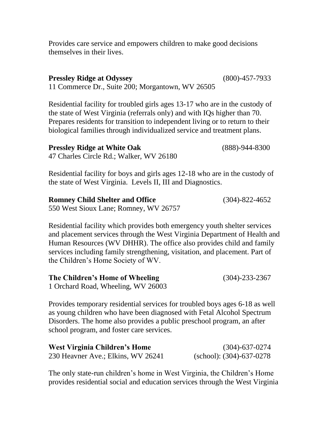Provides care service and empowers children to make good decisions themselves in their lives.

| <b>Pressley Ridge at Odyssey</b>                 | $(800) - 457 - 7933$ |
|--------------------------------------------------|----------------------|
| 11 Commerce Dr., Suite 200; Morgantown, WV 26505 |                      |

Residential facility for troubled girls ages 13-17 who are in the custody of the state of West Virginia (referrals only) and with IQs higher than 70. Prepares residents for transition to independent living or to return to their biological families through individualized service and treatment plans.

| <b>Pressley Ridge at White Oak</b>      | $(888) - 944 - 8300$ |
|-----------------------------------------|----------------------|
| 47 Charles Circle Rd.; Walker, WV 26180 |                      |

Residential facility for boys and girls ages 12-18 who are in the custody of the state of West Virginia. Levels II, III and Diagnostics.

| <b>Romney Child Shelter and Office</b> | $(304) - 822 - 4652$ |
|----------------------------------------|----------------------|
| 550 West Sioux Lane; Romney, WV 26757  |                      |

Residential facility which provides both emergency youth shelter services and placement services through the West Virginia Department of Health and Human Resources (WV DHHR). The office also provides child and family services including family strengthening, visitation, and placement. Part of the Children's Home Society of WV.

| The Children's Home of Wheeling    | $(304) - 233 - 2367$ |
|------------------------------------|----------------------|
| 1 Orchard Road, Wheeling, WV 26003 |                      |

Provides temporary residential services for troubled boys ages 6-18 as well as young children who have been diagnosed with Fetal Alcohol Spectrum Disorders. The home also provides a public preschool program, an after school program, and foster care services.

| West Virginia Children's Home      | $(304) - 637 - 0274$        |
|------------------------------------|-----------------------------|
| 230 Heavner Ave.; Elkins, WV 26241 | (school): $(304)$ -637-0278 |

The only state-run children's home in West Virginia, the Children's Home provides residential social and education services through the West Virginia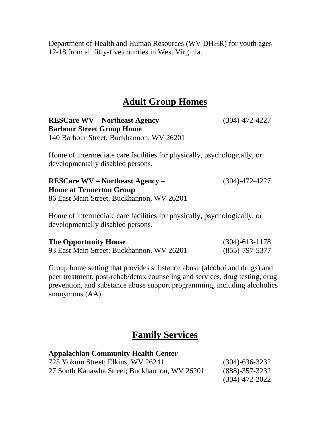Department of Health and Human Resources (WV DHHR) for youth ages 12-18 from all fifty-five counties in West Virginia.

### **Adult Group Homes**

**RESCare WV – Northeast Agency –** (304)-472-4227 **Barbour Street Group Home** 140 Barbour Street; Buckhannon, WV 26201

Home of intermediate care facilities for physically, psychologically, or developmentally disabled persons.

**RESCare WV – Northeast Agency –** (304)-472-4227 **Home at Tennerton Group** 86 East Main Street, Buckhannon, WV 26201

Home of intermediate care facilities for physically, psychologically, or developmentally disabled persons.

| <b>The Opportunity House</b>              | $(304) - 613 - 1178$ |
|-------------------------------------------|----------------------|
| 93 East Main Street; Buckhannon, WV 26201 | $(855) - 797 - 5377$ |

Group home setting that provides substance abuse (alcohol and drugs) and peer treatment, post-rehab/detox counseling and services, drug testing, drug prevention, and substance abuse support programming, including alcoholics anonymous (AA).

### **Family Services**

| <b>Appalachian Community Health Center</b>    |                      |
|-----------------------------------------------|----------------------|
| 725 Yokum Street; Elkins, WV 26241            | $(304) - 636 - 3232$ |
| 27 South Kanawha Street; Buckhannon, WV 26201 | $(888) - 357 - 3232$ |
|                                               | $(304) - 472 - 2022$ |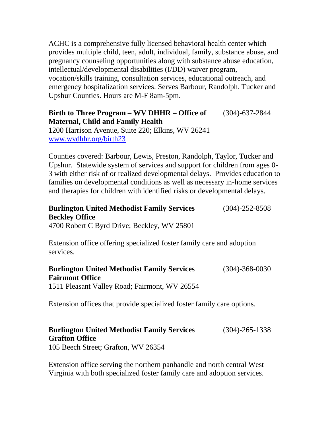ACHC is a comprehensive fully licensed behavioral health center which provides multiple child, teen, adult, individual, family, substance abuse, and pregnancy counseling opportunities along with substance abuse education, intellectual/developmental disabilities (I/DD) waiver program, vocation/skills training, consultation services, educational outreach, and emergency hospitalization services. Serves Barbour, Randolph, Tucker and Upshur Counties. Hours are M-F 8am-5pm.

### **Birth to Three Program – WV DHHR – Office of** (304)-637-2844 **Maternal, Child and Family Health**

1200 Harrison Avenue, Suite 220; Elkins, WV 26241 [www.wvdhhr.org/birth23](http://www.wvdhhr.org/birth23)

Counties covered: Barbour, Lewis, Preston, Randolph, Taylor, Tucker and Upshur. Statewide system of services and support for children from ages 0- 3 with either risk of or realized developmental delays. Provides education to families on developmental conditions as well as necessary in-home services and therapies for children with identified risks or developmental delays.

### **Burlington United Methodist Family Services** (304)-252-8508 **Beckley Office**

4700 Robert C Byrd Drive; Beckley, WV 25801

Extension office offering specialized foster family care and adoption services.

#### **Burlington United Methodist Family Services** (304)-368-0030 **Fairmont Office** 1511 Pleasant Valley Road; Fairmont, WV 26554

Extension offices that provide specialized foster family care options.

### **Burlington United Methodist Family Services** (304)-265-1338 **Grafton Office**

105 Beech Street; Grafton, WV 26354

Extension office serving the northern panhandle and north central West Virginia with both specialized foster family care and adoption services.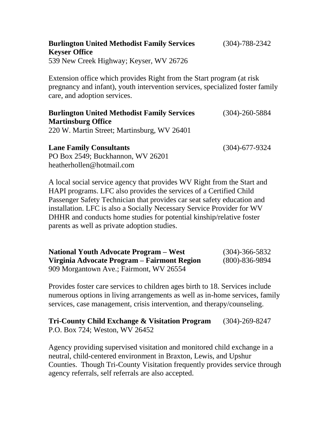| <b>Burlington United Methodist Family Services</b><br><b>Keyser Office</b>                                                                                                             | $(304) - 788 - 2342$ |
|----------------------------------------------------------------------------------------------------------------------------------------------------------------------------------------|----------------------|
| 539 New Creek Highway; Keyser, WV 26726                                                                                                                                                |                      |
| Extension office which provides Right from the Start program (at risk<br>pregnancy and infant), youth intervention services, specialized foster family<br>care, and adoption services. |                      |
| <b>Burlington United Methodist Family Services</b><br><b>Martinsburg Office</b>                                                                                                        | $(304) - 260 - 5884$ |
| 220 W. Martin Street; Martinsburg, WV 26401                                                                                                                                            |                      |

**Lane Family Consultants** (304)-677-9324 PO Box 2549; Buckhannon, WV 26201 [heatherhollen@hotmail.com](mailto:heatherhollen@hotmail.com)

A local social service agency that provides WV Right from the Start and HAPI programs. LFC also provides the services of a Certified Child Passenger Safety Technician that provides car seat safety education and installation. LFC is also a Socially Necessary Service Provider for WV DHHR and conducts home studies for potential kinship/relative foster parents as well as private adoption studies.

**National Youth Advocate Program – West** (304)-366-5832 **Virginia Advocate Program – Fairmont Region** (800)-836-9894 909 Morgantown Ave.; Fairmont, WV 26554

Provides foster care services to children ages birth to 18. Services include numerous options in living arrangements as well as in-home services, family services, case management, crisis intervention, and therapy/counseling.

**Tri-County Child Exchange & Visitation Program** (304)-269-8247 P.O. Box 724; Weston, WV 26452

Agency providing supervised visitation and monitored child exchange in a neutral, child-centered environment in Braxton, Lewis, and Upshur Counties. Though Tri-County Visitation frequently provides service through agency referrals, self referrals are also accepted.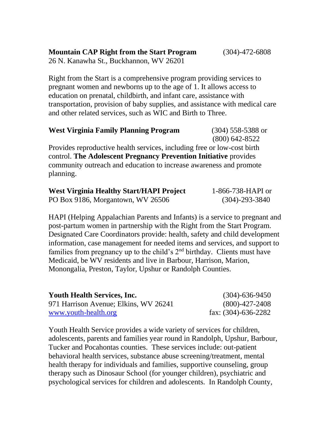26 N. Kanawha St., Buckhannon, WV 26201

Right from the Start is a comprehensive program providing services to pregnant women and newborns up to the age of 1. It allows access to education on prenatal, childbirth, and infant care, assistance with transportation, provision of baby supplies, and assistance with medical care and other related services, such as WIC and Birth to Three.

| <b>West Virginia Family Planning Program</b>                                                                   | $(304)$ 558-5388 or |
|----------------------------------------------------------------------------------------------------------------|---------------------|
|                                                                                                                | $(800)$ 642-8522    |
| . Durant dan untuk dinastian dan dalam menjadi sebuah di dalam dalam dan dalam dalam dalam dalam dalam dalam d |                     |

Provides reproductive health services, including free or low-cost birth control. **The Adolescent Pregnancy Prevention Initiative** provides community outreach and education to increase awareness and promote planning.

| <b>West Virginia Healthy Start/HAPI Project</b> | 1-866-738-HAPI or    |
|-------------------------------------------------|----------------------|
| PO Box 9186, Morgantown, WV 26506               | $(304) - 293 - 3840$ |

HAPI (Helping Appalachian Parents and Infants) is a service to pregnant and post-partum women in partnership with the Right from the Start Program. Designated Care Coordinators provide: health, safety and child development information, case management for needed items and services, and support to families from pregnancy up to the child's  $2<sup>nd</sup>$  birthday. Clients must have Medicaid, be WV residents and live in Barbour, Harrison, Marion, Monongalia, Preston, Taylor, Upshur or Randolph Counties.

| <b>Youth Health Services, Inc.</b>    | $(304) - 636 - 9450$   |
|---------------------------------------|------------------------|
| 971 Harrison Avenue; Elkins, WV 26241 | $(800)$ -427-2408      |
| www.youth-health.org                  | fax: $(304)$ -636-2282 |

Youth Health Service provides a wide variety of services for children, adolescents, parents and families year round in Randolph, Upshur, Barbour, Tucker and Pocahontas counties. These services include: out-patient behavioral health services, substance abuse screening/treatment, mental health therapy for individuals and families, supportive counseling, group therapy such as Dinosaur School (for younger children), psychiatric and psychological services for children and adolescents. In Randolph County,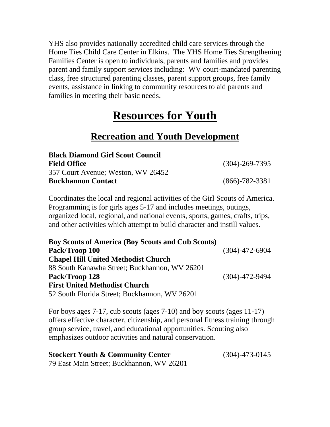YHS also provides nationally accredited child care services through the Home Ties Child Care Center in Elkins. The YHS Home Ties Strengthening Families Center is open to individuals, parents and families and provides parent and family support services including: WV court-mandated parenting class, free structured parenting classes, parent support groups, free family events, assistance in linking to community resources to aid parents and families in meeting their basic needs.

### **Resources for Youth**

### **Recreation and Youth Development**

| <b>Black Diamond Girl Scout Council</b> |                      |
|-----------------------------------------|----------------------|
| <b>Field Office</b>                     | $(304) - 269 - 7395$ |
| 357 Court Avenue; Weston, WV 26452      |                      |
| <b>Buckhannon Contact</b>               | $(866) - 782 - 3381$ |

Coordinates the local and regional activities of the Girl Scouts of America. Programming is for girls ages 5-17 and includes meetings, outings, organized local, regional, and national events, sports, games, crafts, trips, and other activities which attempt to build character and instill values.

| <b>Boy Scouts of America (Boy Scouts and Cub Scouts)</b> |                      |
|----------------------------------------------------------|----------------------|
| Pack/Troop 100                                           | $(304) - 472 - 6904$ |
| <b>Chapel Hill United Methodist Church</b>               |                      |
| 88 South Kanawha Street; Buckhannon, WV 26201            |                      |
| Pack/Troop 128                                           | $(304) - 472 - 9494$ |
| <b>First United Methodist Church</b>                     |                      |
| 52 South Florida Street; Buckhannon, WV 26201            |                      |

For boys ages 7-17, cub scouts (ages 7-10) and boy scouts (ages 11-17) offers effective character, citizenship, and personal fitness training through group service, travel, and educational opportunities. Scouting also emphasizes outdoor activities and natural conservation.

| <b>Stockert Youth &amp; Community Center</b> | $(304)$ -473-0145 |
|----------------------------------------------|-------------------|
| 79 East Main Street; Buckhannon, WV 26201    |                   |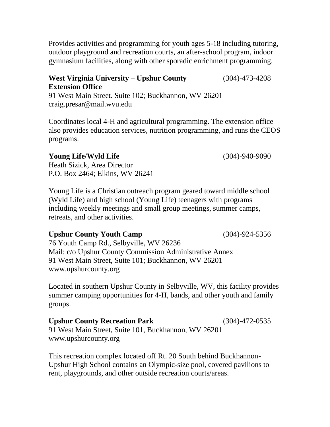Provides activities and programming for youth ages 5-18 including tutoring, outdoor playground and recreation courts, an after-school program, indoor gymnasium facilities, along with other sporadic enrichment programming.

### **West Virginia University – Upshur County** (304)-473-4208 **Extension Office**

91 West Main Street. Suite 102; Buckhannon, WV 26201 craig.presar@mail.wvu.edu

Coordinates local 4-H and agricultural programming. The extension office also provides education services, nutrition programming, and runs the CEOS programs.

#### **Young Life/Wyld Life** (304)-940-9090

Heath Sizick, Area Director P.O. Box 2464; Elkins, WV 26241

Young Life is a Christian outreach program geared toward middle school (Wyld Life) and high school (Young Life) teenagers with programs including weekly meetings and small group meetings, summer camps, retreats, and other activities.

### **Upshur County Youth Camp** (304)-924-5356

76 Youth Camp Rd., Selbyville, WV 26236 Mail: c/o Upshur County Commission Administrative Annex 91 West Main Street, Suite 101; Buckhannon, WV 26201 [www.upshurcounty.org](http://www.upshurcounty.org/)

Located in southern Upshur County in Selbyville, WV, this facility provides summer camping opportunities for 4-H, bands, and other youth and family groups.

### **Upshur County Recreation Park** (304)-472-0535

91 West Main Street, Suite 101, Buckhannon, WV 26201 [www.upshurcounty.org](http://www.upshurcounty.org/)

This recreation complex located off Rt. 20 South behind Buckhannon-Upshur High School contains an Olympic-size pool, covered pavilions to rent, playgrounds, and other outside recreation courts/areas.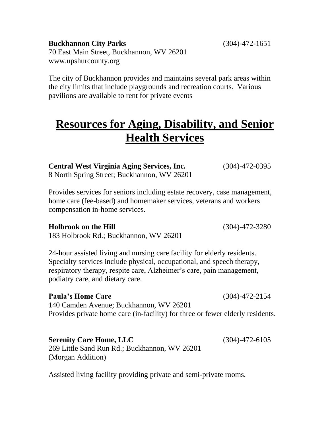**Buckhannon City Parks** (304)-472-1651 70 East Main Street, Buckhannon, WV 26201 [www.upshurcounty.org](http://www.upshurcounty.org/)

The city of Buckhannon provides and maintains several park areas within the city limits that include playgrounds and recreation courts. Various pavilions are available to rent for private events

### **Resources for Aging, Disability, and Senior Health Services**

**Central West Virginia Aging Services, Inc.** (304)-472-0395 8 North Spring Street; Buckhannon, WV 26201

Provides services for seniors including estate recovery, case management, home care (fee-based) and homemaker services, veterans and workers compensation in-home services.

#### **Holbrook on the Hill** (304)-472-3280

183 Holbrook Rd.; Buckhannon, WV 26201

24-hour assisted living and nursing care facility for elderly residents. Specialty services include physical, occupational, and speech therapy, respiratory therapy, respite care, Alzheimer's care, pain management, podiatry care, and dietary care.

#### **Paula's Home Care** (304)-472-2154

140 Camden Avenue; Buckhannon, WV 26201 Provides private home care (in-facility) for three or fewer elderly residents.

### **Serenity Care Home, LLC** (304)-472-6105

269 Little Sand Run Rd.; Buckhannon, WV 26201 (Morgan Addition)

Assisted living facility providing private and semi-private rooms.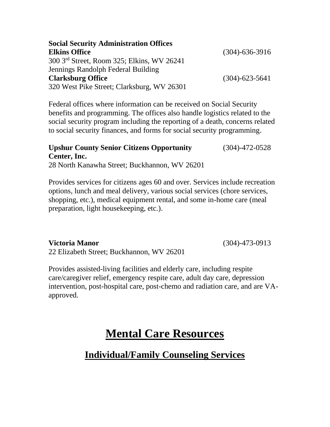| <b>Social Security Administration Offices</b> |                      |
|-----------------------------------------------|----------------------|
| <b>Elkins Office</b>                          | $(304) - 636 - 3916$ |
| 300 3rd Street, Room 325; Elkins, WV 26241    |                      |
| Jennings Randolph Federal Building            |                      |
| <b>Clarksburg Office</b>                      | $(304) - 623 - 5641$ |
| 320 West Pike Street; Clarksburg, WV 26301    |                      |

Federal offices where information can be received on Social Security benefits and programming. The offices also handle logistics related to the social security program including the reporting of a death, concerns related to social security finances, and forms for social security programming.

### **Upshur County Senior Citizens Opportunity** (304)-472-0528 **Center, Inc.**

28 North Kanawha Street; Buckhannon, WV 26201

Provides services for citizens ages 60 and over. Services include recreation options, lunch and meal delivery, various social services (chore services, shopping, etc.), medical equipment rental, and some in-home care (meal preparation, light housekeeping, etc.).

#### **Victoria Manor** (304)-473-0913

22 Elizabeth Street; Buckhannon, WV 26201

Provides assisted-living facilities and elderly care, including respite care/caregiver relief, emergency respite care, adult day care, depression intervention, post-hospital care, post-chemo and radiation care, and are VAapproved.

### **Mental Care Resources**

### **Individual/Family Counseling Services**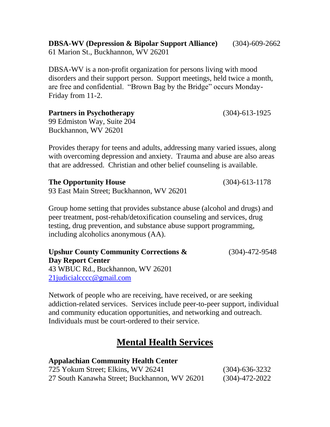**DBSA-WV (Depression & Bipolar Support Alliance)** (304)-609-2662 61 Marion St., Buckhannon, WV 26201

DBSA-WV is a non-profit organization for persons living with mood disorders and their support person. Support meetings, held twice a month, are free and confidential. "Brown Bag by the Bridge" occurs Monday-Friday from 11-2.

**Partners in Psychotherapy** (304)-613-1925

99 Edmiston Way, Suite 204 Buckhannon, WV 26201

Provides therapy for teens and adults, addressing many varied issues, along with overcoming depression and anxiety. Trauma and abuse are also areas that are addressed. Christian and other belief counseling is available.

**The Opportunity House** (304)-613-1178

93 East Main Street; Buckhannon, WV 26201

Group home setting that provides substance abuse (alcohol and drugs) and peer treatment, post-rehab/detoxification counseling and services, drug testing, drug prevention, and substance abuse support programming, including alcoholics anonymous (AA).

**Upshur County Community Corrections &** (304)-472-9548 **Day Report Center** 43 WBUC Rd., Buckhannon, WV 26201 [21judicialcccc@gmail.com](mailto:21judicialcccc@gmail.com)

Network of people who are receiving, have received, or are seeking addiction-related services. Services include peer-to-peer support, individual and community education opportunities, and networking and outreach. Individuals must be court-ordered to their service.

### **Mental Health Services**

### **Appalachian Community Health Center**

| 725 Yokum Street; Elkins, WV 26241            | $(304) - 636 - 3232$ |
|-----------------------------------------------|----------------------|
| 27 South Kanawha Street; Buckhannon, WV 26201 | $(304)$ -472-2022    |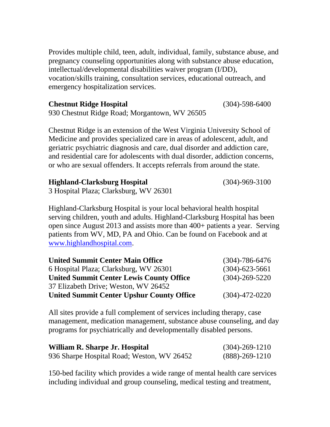Provides multiple child, teen, adult, individual, family, substance abuse, and pregnancy counseling opportunities along with substance abuse education, intellectual/developmental disabilities waiver program (I/DD), vocation/skills training, consultation services, educational outreach, and emergency hospitalization services.

**Chestnut Ridge Hospital** (304)-598-6400 930 Chestnut Ridge Road; Morgantown, WV 26505

Chestnut Ridge is an extension of the West Virginia University School of Medicine and provides specialized care in areas of adolescent, adult, and geriatric psychiatric diagnosis and care, dual disorder and addiction care, and residential care for adolescents with dual disorder, addiction concerns, or who are sexual offenders. It accepts referrals from around the state.

**Highland-Clarksburg Hospital** (304)-969-3100

3 Hospital Plaza; Clarksburg, WV 26301

Highland-Clarksburg Hospital is your local behavioral health hospital serving children, youth and adults. Highland-Clarksburg Hospital has been open since August 2013 and assists more than 400+ patients a year. Serving patients from WV, MD, PA and Ohio. Can be found on Facebook and at [www.highlandhospital.com.](http://www.highlandhospital.com/)

| <b>United Summit Center Main Office</b>          | $(304) - 786 - 6476$ |
|--------------------------------------------------|----------------------|
| 6 Hospital Plaza; Clarksburg, WV 26301           | $(304) - 623 - 5661$ |
| <b>United Summit Center Lewis County Office</b>  | $(304) - 269 - 5220$ |
| 37 Elizabeth Drive; Weston, WV 26452             |                      |
| <b>United Summit Center Upshur County Office</b> | $(304) - 472 - 0220$ |

All sites provide a full complement of services including therapy, case management, medication management, substance abuse counseling, and day programs for psychiatrically and developmentally disabled persons.

| William R. Sharpe Jr. Hospital             | $(304) - 269 - 1210$ |
|--------------------------------------------|----------------------|
| 936 Sharpe Hospital Road; Weston, WV 26452 | $(888) - 269 - 1210$ |

150-bed facility which provides a wide range of mental health care services including individual and group counseling, medical testing and treatment,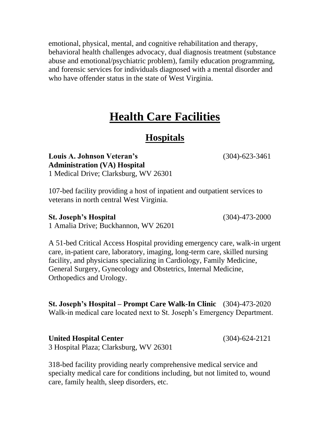emotional, physical, mental, and cognitive rehabilitation and therapy, behavioral health challenges advocacy, dual diagnosis treatment (substance abuse and emotional/psychiatric problem), family education programming, and forensic services for individuals diagnosed with a mental disorder and who have offender status in the state of West Virginia.

### **Health Care Facilities**

### **Hospitals**

**Louis A. Johnson Veteran's** (304)-623-3461 **Administration (VA) Hospital** 1 Medical Drive; Clarksburg, WV 26301

107-bed facility providing a host of inpatient and outpatient services to veterans in north central West Virginia.

#### **St. Joseph's Hospital** (304)-473-2000

1 Amalia Drive; Buckhannon, WV 26201

A 51-bed Critical Access Hospital providing emergency care, walk-in urgent care, in-patient care, laboratory, imaging, long-term care, skilled nursing facility, and physicians specializing in Cardiology, Family Medicine, General Surgery, Gynecology and Obstetrics, Internal Medicine, Orthopedics and Urology.

**St. Joseph's Hospital – Prompt Care Walk-In Clinic** (304)-473-2020 Walk-in medical care located next to St. Joseph's Emergency Department.

**United Hospital Center** (304)-624-2121 3 Hospital Plaza; Clarksburg, WV 26301

318-bed facility providing nearly comprehensive medical service and specialty medical care for conditions including, but not limited to, wound care, family health, sleep disorders, etc.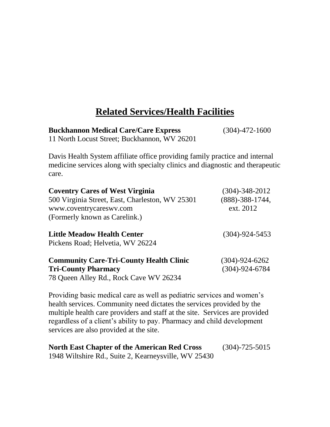### **Related Services/Health Facilities**

**Buckhannon Medical Care/Care Express** (304)-472-1600

11 North Locust Street; Buckhannon, WV 26201

Davis Health System affiliate office providing family practice and internal medicine services along with specialty clinics and diagnostic and therapeutic care.

| <b>Coventry Cares of West Virginia</b><br>500 Virginia Street, East, Charleston, WV 25301<br>www.coventrycareswy.com<br>(Formerly known as Carelink.) | $(304) - 348 - 2012$<br>$(888) - 388 - 1744,$<br>ext. 2012 |
|-------------------------------------------------------------------------------------------------------------------------------------------------------|------------------------------------------------------------|
| <b>Little Meadow Health Center</b><br>Pickens Road; Helvetia, WV 26224                                                                                | $(304) - 924 - 5453$                                       |
| <b>Community Care-Tri-County Health Clinic</b><br><b>Tri-County Pharmacy</b><br>78 Queen Alley Rd., Rock Cave WV 26234                                | $(304) - 924 - 6262$<br>$(304) - 924 - 6784$               |

Providing basic medical care as well as pediatric services and women's health services. Community need dictates the services provided by the multiple health care providers and staff at the site. Services are provided regardless of a client's ability to pay. Pharmacy and child development services are also provided at the site.

| <b>North East Chapter of the American Red Cross</b>  | $(304) - 725 - 5015$ |
|------------------------------------------------------|----------------------|
| 1948 Wiltshire Rd., Suite 2, Kearneysville, WV 25430 |                      |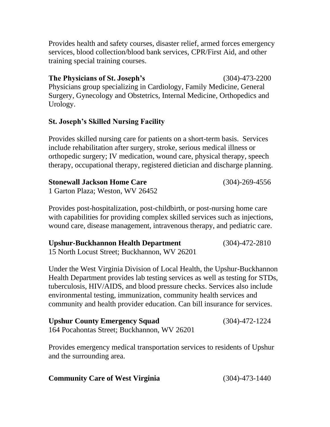Provides health and safety courses, disaster relief, armed forces emergency services, blood collection/blood bank services, CPR/First Aid, and other training special training courses.

**The Physicians of St. Joseph's** (304)-473-2200 Physicians group specializing in Cardiology, Family Medicine, General Surgery, Gynecology and Obstetrics, Internal Medicine, Orthopedics and Urology.

### **St. Joseph's Skilled Nursing Facility**

Provides skilled nursing care for patients on a short-term basis. Services include rehabilitation after surgery, stroke, serious medical illness or orthopedic surgery; IV medication, wound care, physical therapy, speech therapy, occupational therapy, registered dietician and discharge planning.

| <b>Stonewall Jackson Home Care</b> | $(304) - 269 - 4556$ |
|------------------------------------|----------------------|
| 1 Garton Plaza; Weston, WV 26452   |                      |

Provides post-hospitalization, post-childbirth, or post-nursing home care with capabilities for providing complex skilled services such as injections, wound care, disease management, intravenous therapy, and pediatric care.

| Upshur-Buckhannon Health Department          | $(304) - 472 - 2810$ |
|----------------------------------------------|----------------------|
| 15 North Locust Street; Buckhannon, WV 26201 |                      |

Under the West Virginia Division of Local Health, the Upshur-Buckhannon Health Department provides lab testing services as well as testing for STDs, tuberculosis, HIV/AIDS, and blood pressure checks. Services also include environmental testing, immunization, community health services and community and health provider education. Can bill insurance for services.

| <b>Upshur County Emergency Squad</b>        | $(304) - 472 - 1224$ |
|---------------------------------------------|----------------------|
| 164 Pocahontas Street; Buckhannon, WV 26201 |                      |

Provides emergency medical transportation services to residents of Upshur and the surrounding area.

| <b>Community Care of West Virginia</b> | $(304) - 473 - 1440$ |
|----------------------------------------|----------------------|
|----------------------------------------|----------------------|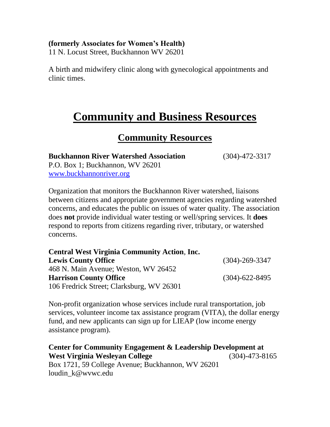#### **(formerly Associates for Women's Health)**

11 N. Locust Street, Buckhannon WV 26201

A birth and midwifery clinic along with gynecological appointments and clinic times.

### **Community and Business Resources**

### **Community Resources**

**Buckhannon River Watershed Association** (304)-472-3317 P.O. Box 1; Buckhannon, WV 26201 [www.buckhannonriver.org](http://www.buckhannonriver.org/)

Organization that monitors the Buckhannon River watershed, liaisons between citizens and appropriate government agencies regarding watershed concerns, and educates the public on issues of water quality. The association does **not** provide individual water testing or well/spring services. It **does** respond to reports from citizens regarding river, tributary, or watershed concerns.

| <b>Central West Virginia Community Action, Inc.</b> |                      |
|-----------------------------------------------------|----------------------|
| <b>Lewis County Office</b>                          | $(304) - 269 - 3347$ |
| 468 N. Main Avenue; Weston, WV 26452                |                      |
| <b>Harrison County Office</b>                       | $(304) - 622 - 8495$ |
| 106 Fredrick Street; Clarksburg, WV 26301           |                      |

Non-profit organization whose services include rural transportation, job services, volunteer income tax assistance program (VITA), the dollar energy fund, and new applicants can sign up for LIEAP (low income energy assistance program).

**Center for Community Engagement & Leadership Development at West Virginia Wesleyan College** (304)-473-8165 Box 1721, 59 College Avenue; Buckhannon, WV 26201 loudin\_k@wvwc.edu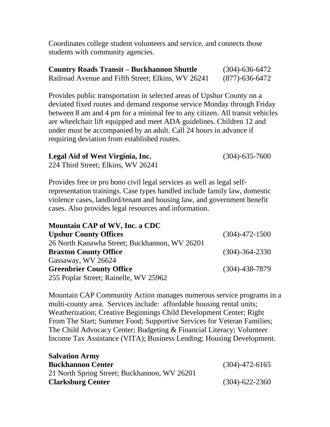Coordinates college student volunteers and service, and connects those students with community agencies.

| <b>Country Roads Transit – Buckhannon Shuttle</b>  | $(304) - 636 - 6472$ |
|----------------------------------------------------|----------------------|
| Railroad Avenue and Fifth Street; Elkins, WV 26241 | (877)-636-6472       |

Provides public transportation in selected areas of Upshur County on a deviated fixed routes and demand response service Monday through Friday between 8 am and 4 pm for a minimal fee to any citizen. All transit vehicles are wheelchair lift equipped and meet ADA guidelines. Children 12 and under must be accompanied by an adult. Call 24 hours in advance if requiring deviation from established routes.

| Legal Aid of West Virginia, Inc. | $(304) - 635 - 7600$ |
|----------------------------------|----------------------|
|                                  |                      |

224 Third Street; Elkins, WV 26241

Provides free or pro bono civil legal services as well as legal selfrepresentation trainings. Case types handled include family law, domestic violence cases, landlord/tenant and housing law, and government benefit cases. Also provides legal resources and information.

| Mountain CAP of WV, Inc. a CDC                |                      |
|-----------------------------------------------|----------------------|
| <b>Upshur County Offices</b>                  | $(304) - 472 - 1500$ |
| 26 North Kanawha Street; Buckhannon, WV 26201 |                      |
| <b>Braxton County Office</b>                  | $(304) - 364 - 2330$ |
| Gassaway, WV 26624                            |                      |
| <b>Greenbrier County Office</b>               | $(304) - 438 - 7879$ |
| 255 Poplar Street; Rainelle, WV 25962         |                      |

Mountain CAP Community Action manages numerous service programs in a multi-county area. Services include: affordable housing rental units; Weatherization; Creative Beginnings Child Development Center; Right From The Start; Summer Food; Supportive Services for Veteran Families; The Child Advocacy Center; Budgeting & Financial Literacy; Volunteer Income Tax Assistance (VITA); Business Lending; Housing Development.

| <b>Salvation Army</b>                        |                      |
|----------------------------------------------|----------------------|
| <b>Buckhannon Center</b>                     | $(304)$ -472-6165    |
| 21 North Spring Street; Buckhannon, WV 26201 |                      |
| <b>Clarksburg Center</b>                     | $(304) - 622 - 2360$ |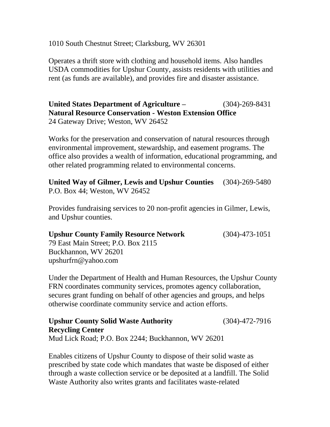1010 South Chestnut Street; Clarksburg, WV 26301

Operates a thrift store with clothing and household items. Also handles USDA commodities for Upshur County, assists residents with utilities and rent (as funds are available), and provides fire and disaster assistance.

**United States Department of Agriculture –** (304)-269-8431 **Natural Resource Conservation - Weston Extension Office** 24 Gateway Drive; Weston, WV 26452

Works for the preservation and conservation of natural resources through environmental improvement, stewardship, and easement programs. The office also provides a wealth of information, educational programming, and other related programming related to environmental concerns.

**United Way of Gilmer, Lewis and Upshur Counties** (304)-269-5480 P.O. Box 44; Weston, WV 26452

Provides fundraising services to 20 non-profit agencies in Gilmer, Lewis, and Upshur counties.

**Upshur County Family Resource Network** (304)-473-1051 79 East Main Street; P.O. Box 2115 Buckhannon, WV 26201 upshurfrn@yahoo.com

Under the Department of Health and Human Resources, the Upshur County FRN coordinates community services, promotes agency collaboration, secures grant funding on behalf of other agencies and groups, and helps otherwise coordinate community service and action efforts.

**Upshur County Solid Waste Authority** (304)-472-7916 **Recycling Center** Mud Lick Road; P.O. Box 2244; Buckhannon, WV 26201

Enables citizens of Upshur County to dispose of their solid waste as prescribed by state code which mandates that waste be disposed of either through a waste collection service or be deposited at a landfill. The Solid Waste Authority also writes grants and facilitates waste-related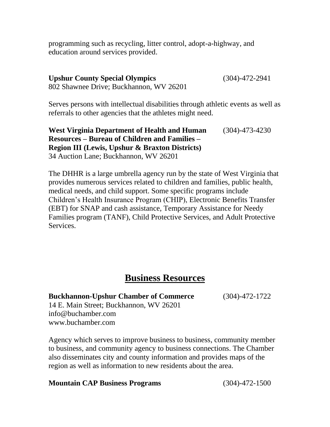programming such as recycling, litter control, adopt-a-highway, and education around services provided.

**Upshur County Special Olympics** (304)-472-2941 802 Shawnee Drive; Buckhannon, WV 26201

Serves persons with intellectual disabilities through athletic events as well as referrals to other agencies that the athletes might need.

**West Virginia Department of Health and Human** (304)-473-4230 **Resources – Bureau of Children and Families – Region III (Lewis, Upshur & Braxton Districts)** 34 Auction Lane; Buckhannon, WV 26201

The DHHR is a large umbrella agency run by the state of West Virginia that provides numerous services related to children and families, public health, medical needs, and child support. Some specific programs include Children's Health Insurance Program (CHIP), Electronic Benefits Transfer (EBT) for SNAP and cash assistance, Temporary Assistance for Needy Families program (TANF), Child Protective Services, and Adult Protective Services.

### **Business Resources**

**Buckhannon-Upshur Chamber of Commerce** (304)-472-1722

14 E. Main Street; Buckhannon, WV 26201 info@buchamber.com [www.buchamber.com](http://www.buchamber.com/)

Agency which serves to improve business to business, community member to business, and community agency to business connections. The Chamber also disseminates city and county information and provides maps of the region as well as information to new residents about the area.

#### **Mountain CAP Business Programs** (304)-472-1500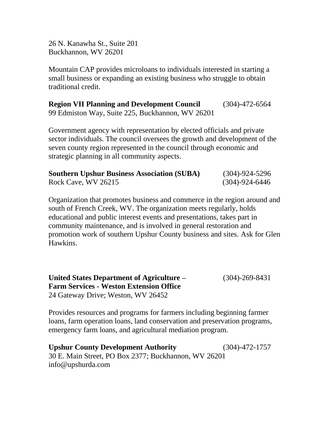26 N. Kanawha St., Suite 201 Buckhannon, WV 26201

Mountain CAP provides microloans to individuals interested in starting a small business or expanding an existing business who struggle to obtain traditional credit.

**Region VII Planning and Development Council** (304)-472-6564 99 Edmiston Way, Suite 225, Buckhannon, WV 26201

Government agency with representation by elected officials and private sector individuals. The council oversees the growth and development of the seven county region represented in the council through economic and strategic planning in all community aspects.

| <b>Southern Upshur Business Association (SUBA)</b> | $(304) - 924 - 5296$ |
|----------------------------------------------------|----------------------|
| Rock Cave, WV 26215                                | $(304) - 924 - 6446$ |

Organization that promotes business and commerce in the region around and south of French Creek, WV. The organization meets regularly, holds educational and public interest events and presentations, takes part in community maintenance, and is involved in general restoration and promotion work of southern Upshur County business and sites. Ask for Glen Hawkins.

**United States Department of Agriculture –** (304)-269-8431 **Farm Services - Weston Extension Office** 24 Gateway Drive; Weston, WV 26452

Provides resources and programs for farmers including beginning farmer loans, farm operation loans, land conservation and preservation programs, emergency farm loans, and agricultural mediation program.

**Upshur County Development Authority** (304)-472-1757 30 E. Main Street, PO Box 2377; Buckhannon, WV 26201 info@upshurda.com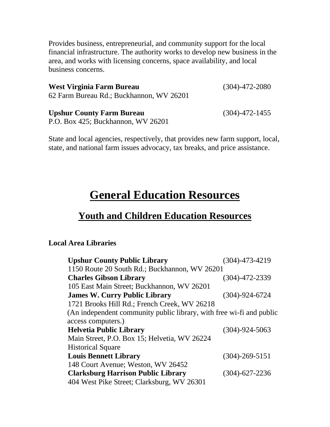Provides business, entrepreneurial, and community support for the local financial infrastructure. The authority works to develop new business in the area, and works with licensing concerns, space availability, and local business concerns.

| West Virginia Farm Bureau                                            | $(304) - 472 - 2080$       |
|----------------------------------------------------------------------|----------------------------|
| 62 Farm Bureau Rd.; Buckhannon, WV 26201                             |                            |
| $\mathbf{L}$ . In the set of $\mathbf{L}$ is the set of $\mathbf{L}$ | $(20.4)$ $(77.1)$ $(17.7)$ |

**Upshur County Farm Bureau** (304)-472-1455 P.O. Box 425; Buckhannon, WV 26201

State and local agencies, respectively, that provides new farm support, local, state, and national farm issues advocacy, tax breaks, and price assistance.

## **General Education Resources**

### **Youth and Children Education Resources**

#### **Local Area Libraries**

| <b>Upshur County Public Library</b>                                  | (304)-473-4219       |
|----------------------------------------------------------------------|----------------------|
| 1150 Route 20 South Rd.; Buckhannon, WV 26201                        |                      |
| <b>Charles Gibson Library</b>                                        | $(304) - 472 - 2339$ |
| 105 East Main Street; Buckhannon, WV 26201                           |                      |
| <b>James W. Curry Public Library</b>                                 | $(304) - 924 - 6724$ |
| 1721 Brooks Hill Rd.; French Creek, WV 26218                         |                      |
| (An independent community public library, with free wi-fi and public |                      |
| access computers.)                                                   |                      |
| <b>Helvetia Public Library</b>                                       | $(304) - 924 - 5063$ |
| Main Street, P.O. Box 15; Helvetia, WV 26224                         |                      |
| <b>Historical Square</b>                                             |                      |
| <b>Louis Bennett Library</b>                                         | $(304) - 269 - 5151$ |
| 148 Court Avenue; Weston, WV 26452                                   |                      |
| <b>Clarksburg Harrison Public Library</b>                            | $(304) - 627 - 2236$ |
| 404 West Pike Street; Clarksburg, WV 26301                           |                      |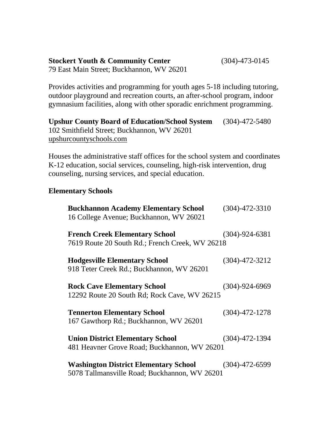#### **Stockert Youth & Community Center** (304)-473-0145 79 East Main Street; Buckhannon, WV 26201

Provides activities and programming for youth ages 5-18 including tutoring,

outdoor playground and recreation courts, an after-school program, indoor gymnasium facilities, along with other sporadic enrichment programming.

**Upshur County Board of Education/School System** (304)-472-5480 102 Smithfield Street; Buckhannon, WV 26201 [upshurcountyschools.com](http://www.upshurcountyschools.com/)

Houses the administrative staff offices for the school system and coordinates K-12 education, social services, counseling, high-risk intervention, drug counseling, nursing services, and special education.

#### **Elementary Schools**

| <b>Buckhannon Academy Elementary School</b><br>16 College Avenue; Buckhannon, WV 26021        | $(304) - 472 - 3310$ |
|-----------------------------------------------------------------------------------------------|----------------------|
| <b>French Creek Elementary School</b><br>7619 Route 20 South Rd.; French Creek, WV 26218      | $(304) - 924 - 6381$ |
| <b>Hodgesville Elementary School</b><br>918 Teter Creek Rd.; Buckhannon, WV 26201             | $(304) - 472 - 3212$ |
| <b>Rock Cave Elementary School</b><br>12292 Route 20 South Rd; Rock Cave, WV 26215            | $(304) - 924 - 6969$ |
| <b>Tennerton Elementary School</b><br>167 Gawthorp Rd.; Buckhannon, WV 26201                  | $(304) - 472 - 1278$ |
| <b>Union District Elementary School</b><br>481 Heavner Grove Road; Buckhannon, WV 26201       | $(304) - 472 - 1394$ |
| <b>Washington District Elementary School</b><br>5078 Tallmansville Road; Buckhannon, WV 26201 | $(304) - 472 - 6599$ |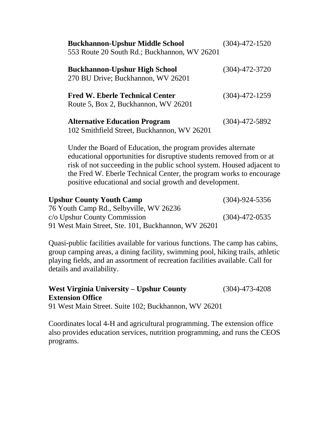| <b>Buckhannon-Upshur Middle School</b><br>553 Route 20 South Rd.; Buckhannon, WV 26201 | $(304) - 472 - 1520$ |
|----------------------------------------------------------------------------------------|----------------------|
| <b>Buckhannon-Upshur High School</b><br>270 BU Drive; Buckhannon, WV 26201             | $(304) - 472 - 3720$ |
| <b>Fred W. Eberle Technical Center</b><br>Route 5, Box 2, Buckhannon, WV 26201         | $(304) - 472 - 1259$ |
| <b>Alternative Education Program</b><br>102 Smithfield Street, Buckhannon, WV 26201    | $(304) - 472 - 5892$ |

Under the Board of Education, the program provides alternate educational opportunities for disruptive students removed from or at risk of not succeeding in the public school system. Housed adjacent to the Fred W. Eberle Technical Center, the program works to encourage positive educational and social growth and development.

| <b>Upshur County Youth Camp</b>                     | $(304) - 924 - 5356$ |
|-----------------------------------------------------|----------------------|
| 76 Youth Camp Rd., Selbyville, WV 26236             |                      |
| c/o Upshur County Commission                        | $(304) - 472 - 0535$ |
| 91 West Main Street, Ste. 101, Buckhannon, WV 26201 |                      |

Quasi-public facilities available for various functions. The camp has cabins, group camping areas, a dining facility, swimming pool, hiking trails, athletic playing fields, and an assortment of recreation facilities available. Call for details and availability.

#### **West Virginia University – Upshur County** (304)-473-4208 **Extension Office**

91 West Main Street. Suite 102; Buckhannon, WV 26201

Coordinates local 4-H and agricultural programming. The extension office also provides education services, nutrition programming, and runs the CEOS programs.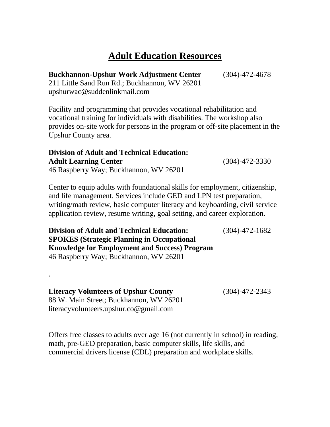### **Adult Education Resources**

**Buckhannon-Upshur Work Adjustment Center** (304)-472-4678

211 Little Sand Run Rd.; Buckhannon, WV 26201 [upshurwac@suddenlinkmail.com](mailto:upshurwac@suddenlinkmail.com)

Facility and programming that provides vocational rehabilitation and vocational training for individuals with disabilities. The workshop also provides on-site work for persons in the program or off-site placement in the Upshur County area.

#### **Division of Adult and Technical Education: Adult Learning Center** (304)-472-3330 46 Raspberry Way; Buckhannon, WV 26201

Center to equip adults with foundational skills for employment, citizenship, and life management. Services include GED and LPN test preparation, writing/math review, basic computer literacy and keyboarding, civil service application review, resume writing, goal setting, and career exploration.

**Division of Adult and Technical Education:** (304)-472-1682 **SPOKES (Strategic Planning in Occupational Knowledge for Employment and Success) Program** 46 Raspberry Way; Buckhannon, WV 26201

**Literacy Volunteers of Upshur County** (304)-472-2343 88 W. Main Street; Buckhannon, WV 26201 literacyvolunteers.upshur.co@gmail.com

.

Offers free classes to adults over age 16 (not currently in school) in reading, math, pre-GED preparation, basic computer skills, life skills, and commercial drivers license (CDL) preparation and workplace skills.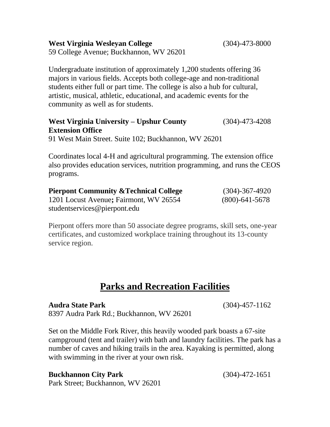**West Virginia Wesleyan College** (304)-473-8000

59 College Avenue; Buckhannon, WV 26201

Undergraduate institution of approximately 1,200 students offering 36 majors in various fields. Accepts both college-age and non-traditional students either full or part time. The college is also a hub for cultural, artistic, musical, athletic, educational, and academic events for the community as well as for students.

#### **West Virginia University – Upshur County** (304)-473-4208 **Extension Office**

91 West Main Street. Suite 102; Buckhannon, WV 26201

Coordinates local 4-H and agricultural programming. The extension office also provides education services, nutrition programming, and runs the CEOS programs.

| <b>Pierpont Community &amp; Technical College</b> | $(304) - 367 - 4920$ |
|---------------------------------------------------|----------------------|
| 1201 Locust Avenue; Fairmont, WV 26554            | $(800)$ -641-5678    |
| students ervices @ pierpont.edu                   |                      |

Pierpont offers more than 50 associate degree programs, skill sets, one-year certificates, and customized workplace training throughout its 13-county service region.

### **Parks and Recreation Facilities**

**Audra State Park** (304)-457-1162 8397 Audra Park Rd.; Buckhannon, WV 26201

Set on the Middle Fork River, this heavily wooded park boasts a 67-site campground (tent and trailer) with bath and laundry facilities. The park has a number of caves and hiking trails in the area. Kayaking is permitted, along with swimming in the river at your own risk.

Park Street; Buckhannon, WV 26201

**Buckhannon City Park** (304)-472-1651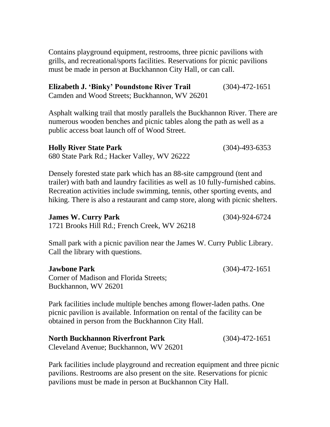Contains playground equipment, restrooms, three picnic pavilions with grills, and recreational/sports facilities. Reservations for picnic pavilions must be made in person at Buckhannon City Hall, or can call.

**Elizabeth J. 'Binky' Poundstone River Trail** (304)-472-1651 Camden and Wood Streets; Buckhannon, WV 26201

Asphalt walking trail that mostly parallels the Buckhannon River. There are numerous wooden benches and picnic tables along the path as well as a public access boat launch off of Wood Street.

#### **Holly River State Park** (304)-493-6353

680 State Park Rd.; Hacker Valley, WV 26222

Densely forested state park which has an 88-site campground (tent and trailer) with bath and laundry facilities as well as 10 fully-furnished cabins. Recreation activities include swimming, tennis, other sporting events, and hiking. There is also a restaurant and camp store, along with picnic shelters.

#### **James W. Curry Park** (304)-924-6724

1721 Brooks Hill Rd.; French Creek, WV 26218

Small park with a picnic pavilion near the James W. Curry Public Library. Call the library with questions.

#### **Jawbone Park** (304)-472-1651

Corner of Madison and Florida Streets; Buckhannon, WV 26201

Park facilities include multiple benches among flower-laden paths. One picnic pavilion is available. Information on rental of the facility can be obtained in person from the Buckhannon City Hall.

**North Buckhannon Riverfront Park** (304)-472-1651 Cleveland Avenue; Buckhannon, WV 26201

Park facilities include playground and recreation equipment and three picnic pavilions. Restrooms are also present on the site. Reservations for picnic pavilions must be made in person at Buckhannon City Hall.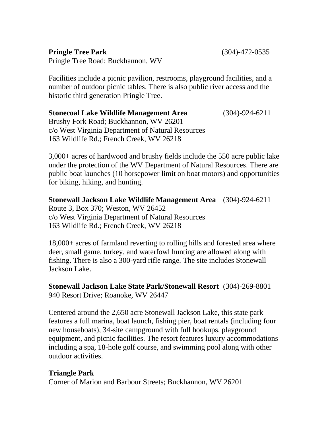### **Pringle Tree Park** (304)-472-0535

Pringle Tree Road; Buckhannon, WV

Facilities include a picnic pavilion, restrooms, playground facilities, and a number of outdoor picnic tables. There is also public river access and the historic third generation Pringle Tree.

#### **Stonecoal Lake Wildlife Management Area** (304)-924-6211 Brushy Fork Road; Buckhannon, WV 26201 c/o West Virginia Department of Natural Resources 163 Wildlife Rd.; French Creek, WV 26218

3,000+ acres of hardwood and brushy fields include the 550 acre public lake under the protection of the WV Department of Natural Resources. There are public boat launches (10 horsepower limit on boat motors) and opportunities for biking, hiking, and hunting.

**Stonewall Jackson Lake Wildlife Management Area** (304)-924-6211 Route 3, Box 370; Weston, WV 26452 c/o West Virginia Department of Natural Resources 163 Wildlife Rd.; French Creek, WV 26218

18,000+ acres of farmland reverting to rolling hills and forested area where deer, small game, turkey, and waterfowl hunting are allowed along with fishing. There is also a 300-yard rifle range. The site includes Stonewall Jackson Lake.

**Stonewall Jackson Lake State Park/Stonewall Resort** (304)-269-8801 940 Resort Drive; Roanoke, WV 26447

Centered around the 2,650 acre Stonewall Jackson Lake, this state park features a full marina, boat launch, fishing pier, boat rentals (including four new houseboats), 34-site campground with full hookups, playground equipment, and picnic facilities. The resort features luxury accommodations including a spa, 18-hole golf course, and swimming pool along with other outdoor activities.

### **Triangle Park**

Corner of Marion and Barbour Streets; Buckhannon, WV 26201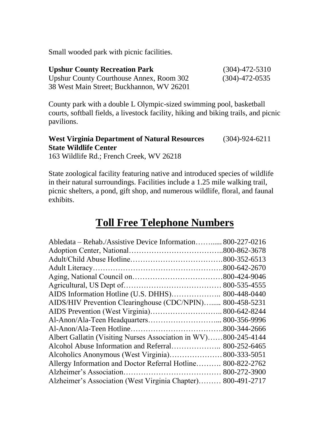Small wooded park with picnic facilities.

| <b>Upshur County Recreation Park</b>      | $(304) - 472 - 5310$ |
|-------------------------------------------|----------------------|
| Upshur County Courthouse Annex, Room 302  | $(304) - 472 - 0535$ |
| 38 West Main Street; Buckhannon, WV 26201 |                      |

County park with a double L Olympic-sized swimming pool, basketball courts, softball fields, a livestock facility, hiking and biking trails, and picnic pavilions.

### **West Virginia Department of Natural Resources** (304)-924-6211 **State Wildlife Center**

163 Wildlife Rd.; French Creek, WV 26218

State zoological facility featuring native and introduced species of wildlife in their natural surroundings. Facilities include a 1.25 mile walking trail, picnic shelters, a pond, gift shop, and numerous wildlife, floral, and faunal exhibits.

### **Toll Free Telephone Numbers**

| Abledata – Rehab./Assistive Device Information 800-227-0216  |              |
|--------------------------------------------------------------|--------------|
|                                                              |              |
|                                                              |              |
|                                                              |              |
|                                                              |              |
|                                                              |              |
|                                                              | 800-448-0440 |
| AIDS/HIV Prevention Clearinghouse (CDC/NPIN)                 | 800-458-5231 |
|                                                              | 800-642-8244 |
|                                                              |              |
|                                                              |              |
| Albert Gallatin (Visiting Nurses Association in WV)          | 800-245-4144 |
| Alcohol Abuse Information and Referral                       | 800-252-6465 |
|                                                              |              |
| Allergy Information and Doctor Referral Hotline 800-822-2762 |              |
|                                                              |              |
| Alzheimer's Association (West Virginia Chapter)              | 800-491-2717 |
|                                                              |              |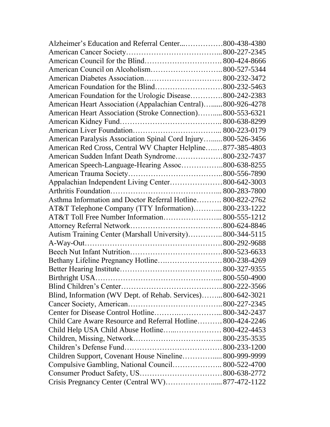| Alzheimer's Education and Referral Center800-438-4380          |  |
|----------------------------------------------------------------|--|
|                                                                |  |
|                                                                |  |
|                                                                |  |
|                                                                |  |
|                                                                |  |
| American Foundation for the Urologic Disease800-242-2383       |  |
| American Heart Association (Appalachian Central)800-926-4278   |  |
| American Heart Association (Stroke Connection)800-553-6321     |  |
|                                                                |  |
|                                                                |  |
| American Paralysis Association Spinal Cord Injury 800-526-3456 |  |
| American Red Cross, Central WV Chapter Helpline877-385-4803    |  |
| American Sudden Infant Death Syndrome800-232-7437              |  |
| American Speech-Language-Hearing Assoc800-638-8255             |  |
|                                                                |  |
| Appalachian Independent Living Center 800-642-3003             |  |
|                                                                |  |
| Asthma Information and Doctor Referral Hotline 800-822-2762    |  |
| AT&T Telephone Company (TTY Information) 800-233-1222          |  |
| AT&T Toll Free Number Information 800-555-1212                 |  |
|                                                                |  |
| Autism Training Center (Marshall University) 800-344-5115      |  |
|                                                                |  |
|                                                                |  |
| Bethany Lifeline Pregnancy Hotline 800-238-4269                |  |
|                                                                |  |
|                                                                |  |
|                                                                |  |
| Blind, Information (WV Dept. of Rehab. Services)800-642-3021   |  |
|                                                                |  |
|                                                                |  |
| Child Care Aware Resource and Referral Hotline 800-424-2246    |  |
| Child Help USA Child Abuse Hotline 800-422-4453                |  |
|                                                                |  |
|                                                                |  |
| Children Support, Covenant House Nineline 800-999-9999         |  |
| Compulsive Gambling, National Council 800-522-4700             |  |
|                                                                |  |
| Crisis Pregnancy Center (Central WV) 877-472-1122              |  |
|                                                                |  |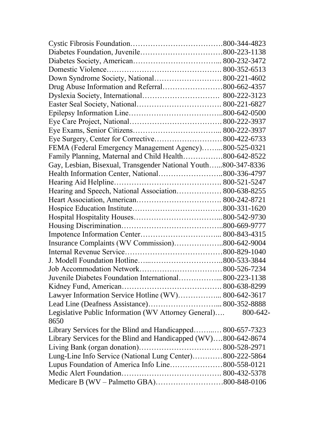| Down Syndrome Society, National 800-221-4602                    |          |
|-----------------------------------------------------------------|----------|
|                                                                 |          |
|                                                                 |          |
|                                                                 |          |
|                                                                 |          |
|                                                                 |          |
|                                                                 |          |
|                                                                 |          |
| FEMA (Federal Emergency Management Agency)800-525-0321          |          |
| Family Planning, Maternal and Child Health800-642-8522          |          |
| Gay, Lesbian, Bisexual, Transgender National Youth800-347-8336  |          |
|                                                                 |          |
|                                                                 |          |
| Hearing and Speech, National Association 800-638-8255           |          |
|                                                                 |          |
|                                                                 |          |
|                                                                 |          |
|                                                                 |          |
|                                                                 |          |
| Insurance Complaints (WV Commission)800-642-9004                |          |
|                                                                 |          |
|                                                                 |          |
|                                                                 |          |
| Juvenile Diabetes Foundation International 800-223-1138         |          |
|                                                                 |          |
| Lawyer Information Service Hotline (WV) 800-642-3617            |          |
|                                                                 |          |
| Legislative Public Information (WV Attorney General)<br>8650    | 800-642- |
| Library Services for the Blind and Handicapped 800-657-7323     |          |
| Library Services for the Blind and Handicapped (WV)800-642-8674 |          |
|                                                                 |          |
| Lung-Line Info Service (National Lung Center)800-222-5864       |          |
| Lupus Foundation of America Info Line800-558-0121               |          |
|                                                                 |          |
|                                                                 |          |
|                                                                 |          |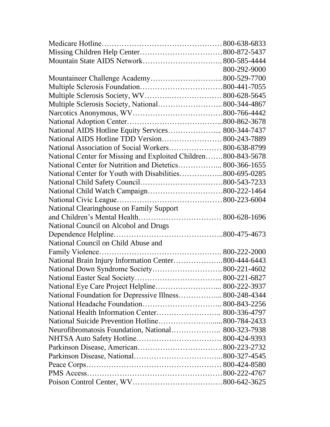|                                                                | 800-292-9000 |
|----------------------------------------------------------------|--------------|
| Mountaineer Challenge Academy 800-529-7700                     |              |
|                                                                |              |
|                                                                |              |
| Multiple Sclerosis Society, National 800-344-4867              |              |
|                                                                |              |
|                                                                |              |
| National AIDS Hotline Equity Services 800-344-7437             |              |
| National AIDS Hotline TDD Version 800-243-7889                 |              |
| National Association of Social Workers 800-638-8799            |              |
| National Center for Missing and Exploited Children800-843-5678 |              |
| National Center for Nutrition and Dietetics 800-366-1655       |              |
| National Center for Youth with Disabilities800-695-0285        |              |
|                                                                |              |
|                                                                |              |
|                                                                |              |
| National Clearinghouse on Family Support                       |              |
|                                                                |              |
| National Council on Alcohol and Drugs                          |              |
|                                                                |              |
| National Council on Child Abuse and                            |              |
|                                                                |              |
| National Brain Injury Information Center800-444-6443           |              |
|                                                                |              |
|                                                                |              |
| National Eye Care Project Helpline 800-222-3937                |              |
| National Foundation for Depressive Illness 800-248-4344        |              |
|                                                                |              |
|                                                                |              |
|                                                                |              |
| Neurofibromatosis Foundation, National 800-323-7938            |              |
|                                                                |              |
|                                                                |              |
|                                                                |              |
|                                                                |              |
|                                                                |              |
|                                                                |              |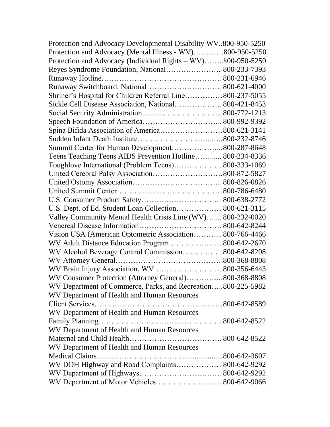| Protection and Advocacy Developmental Disability WV800-950-5250 |  |
|-----------------------------------------------------------------|--|
| Protection and Advocacy (Mental Illness - WV)800-950-5250       |  |
| Protection and Advocacy (Individual Rights - WV)800-950-5250    |  |
| Reyes Syndrome Foundation, National 800-233-7393                |  |
|                                                                 |  |
|                                                                 |  |
| Shriner's Hospital for Children Referral Line800-237-5055       |  |
| Sickle Cell Disease Association, National 800-421-8453          |  |
|                                                                 |  |
|                                                                 |  |
|                                                                 |  |
|                                                                 |  |
| Summit Center for Human Development800-287-8648                 |  |
| Teens Teaching Teens AIDS Prevention Hotline 800-234-8336       |  |
| Toughlove International (Problem Teens) 800-333-1069            |  |
|                                                                 |  |
|                                                                 |  |
|                                                                 |  |
|                                                                 |  |
| U.S. Dept. of Ed. Student Loan Collection 800-621-3115          |  |
| Valley Community Mental Health Crisis Line (WV) 800-232-0020    |  |
|                                                                 |  |
| Vision USA (American Optometric Association 800-766-4466        |  |
| WV Adult Distance Education Program 800-642-2670                |  |
| WV Alcohol Beverage Control Commission 800-642-8208             |  |
|                                                                 |  |
| WV Brain Injury Association, WV 800-356-6443                    |  |
| WV Consumer Protection (Attorney General) 800-368-8808          |  |
| WV Department of Commerce, Parks, and Recreation800-225-5982    |  |
| WV Department of Health and Human Resources                     |  |
|                                                                 |  |
| WV Department of Health and Human Resources                     |  |
|                                                                 |  |
| WV Department of Health and Human Resources                     |  |
|                                                                 |  |
| WV Department of Health and Human Resources                     |  |
|                                                                 |  |
| WV DOH Highway and Road Complaints 800-642-9292                 |  |
|                                                                 |  |
| WV Department of Motor Vehicles 800-642-9066                    |  |
|                                                                 |  |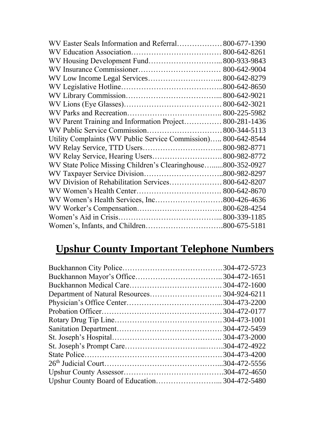| WV Easter Seals Information and Referral 800-677-1390          |  |
|----------------------------------------------------------------|--|
|                                                                |  |
| WV Housing Development Fund 800-933-9843                       |  |
|                                                                |  |
| WV Low Income Legal Services 800-642-8279                      |  |
|                                                                |  |
|                                                                |  |
|                                                                |  |
|                                                                |  |
| WV Parent Training and Information Project 800-281-1436        |  |
|                                                                |  |
| Utility Complaints (WV Public Service Commission) 800-642-8544 |  |
|                                                                |  |
| WV Relay Service, Hearing Users 800-982-8772                   |  |
| WV State Police Missing Children's Clearinghouse800-352-0927   |  |
|                                                                |  |
| WV Division of Rehabilitation Services 800-642-8207            |  |
|                                                                |  |
|                                                                |  |
|                                                                |  |
|                                                                |  |
|                                                                |  |

## **Upshur County Important Telephone Numbers**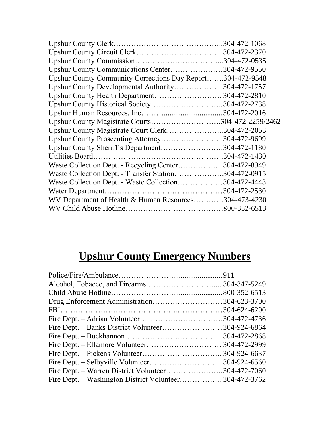| Upshur County Communications Center304-472-9550            |              |
|------------------------------------------------------------|--------------|
| Upshur County Community Corrections Day Report304-472-9548 |              |
| Upshur County Developmental Authority304-472-1757          |              |
| Upshur County Health Department304-472-2810                |              |
| Upshur County Historical Society304-472-2738               |              |
|                                                            |              |
| Upshur County Magistrate Courts304-472-2259/2462           |              |
| Upshur County Magistrate Court Clerk304-472-2053           |              |
|                                                            |              |
| Upshur County Sheriff's Department304-472-1180             |              |
|                                                            |              |
| Waste Collection Dept. - Recycling Center                  | 304-472-8949 |
| Waste Collection Dept. - Transfer Station304-472-0915      |              |
| Waste Collection Dept. - Waste Collection304-472-4443      |              |
|                                                            |              |
| WV Department of Health & Human Resources304-473-4230      |              |
|                                                            |              |

# **Upshur County Emergency Numbers**

| Drug Enforcement Administration304-623-3700        |  |
|----------------------------------------------------|--|
|                                                    |  |
|                                                    |  |
| Fire Dept. – Banks District Volunteer304-924-6864  |  |
|                                                    |  |
|                                                    |  |
|                                                    |  |
|                                                    |  |
| Fire Dept. – Warren District Volunteer304-472-7060 |  |
|                                                    |  |
|                                                    |  |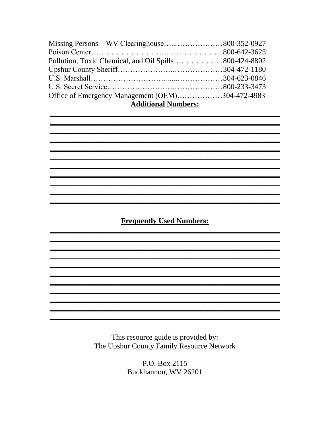| Missing Persons—WV Clearinghouse800-352-0927          |  |
|-------------------------------------------------------|--|
|                                                       |  |
| Pollution, Toxic Chemical, and Oil Spills800-424-8802 |  |
|                                                       |  |
|                                                       |  |
|                                                       |  |
| Office of Emergency Management (OEM)304-472-4983      |  |
| <b>Additional Numbers:</b>                            |  |

**Frequently Used Numbers:** 

<u> 1989 - Johann Stoff, deutscher Stoff, der Stoff, der Stoff, der Stoff, der Stoff, der Stoff, der Stoff, der S</u>

> This resource guide is provided by: The Upshur County Family Resource Network

P.O. Box 2115 Buckhannon, WV 26201